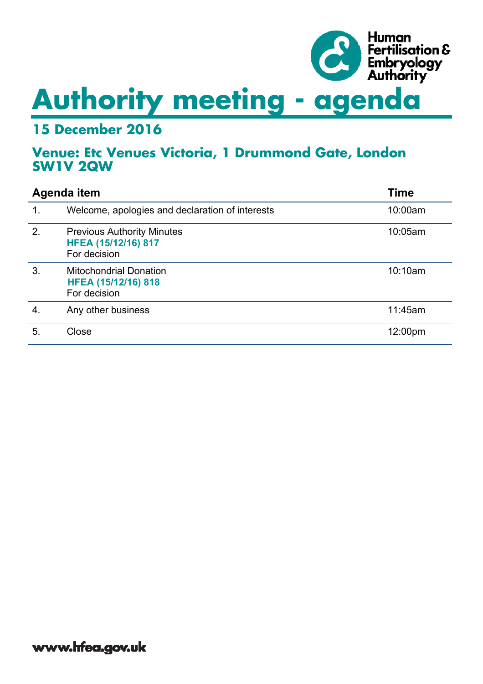

# **15 December 2016**

# **Venue: Etc Venues Victoria, 1 Drummond Gate, London SW1V 2QW**

| Agenda item      |                                                                                 | <b>Time</b> |
|------------------|---------------------------------------------------------------------------------|-------------|
| $\mathbf 1$ .    | Welcome, apologies and declaration of interests                                 | 10:00am     |
| 2.               | <b>Previous Authority Minutes</b><br><b>HFEA (15/12/16) 817</b><br>For decision | 10:05am     |
| 3.               | <b>Mitochondrial Donation</b><br><b>HFEA (15/12/16) 818</b><br>For decision     | 10:10am     |
| $\overline{4}$ . | Any other business                                                              | 11:45am     |
| 5.               | Close                                                                           | 12:00pm     |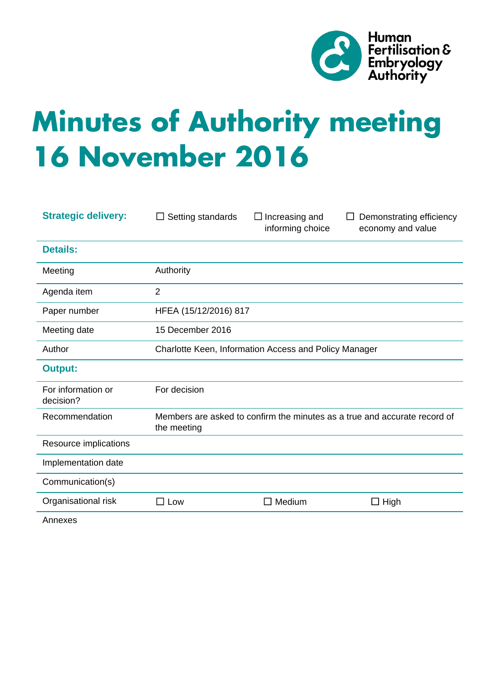

# **Minutes of Authority meeting 16 November 2016**

| <b>Strategic delivery:</b>      | Setting standards<br>⊔ | $\Box$ Increasing and<br>informing choice             | Demonstrating efficiency<br>economy and value                             |
|---------------------------------|------------------------|-------------------------------------------------------|---------------------------------------------------------------------------|
| <b>Details:</b>                 |                        |                                                       |                                                                           |
| Meeting                         | Authority              |                                                       |                                                                           |
| Agenda item                     | $\overline{2}$         |                                                       |                                                                           |
| Paper number                    | HFEA (15/12/2016) 817  |                                                       |                                                                           |
| Meeting date                    | 15 December 2016       |                                                       |                                                                           |
| Author                          |                        | Charlotte Keen, Information Access and Policy Manager |                                                                           |
| <b>Output:</b>                  |                        |                                                       |                                                                           |
| For information or<br>decision? | For decision           |                                                       |                                                                           |
| Recommendation                  | the meeting            |                                                       | Members are asked to confirm the minutes as a true and accurate record of |
| Resource implications           |                        |                                                       |                                                                           |
| Implementation date             |                        |                                                       |                                                                           |
| Communication(s)                |                        |                                                       |                                                                           |
| Organisational risk             | $\Box$ Low             | $\square$ Medium                                      | $\square$ High                                                            |
|                                 |                        |                                                       |                                                                           |

Annexes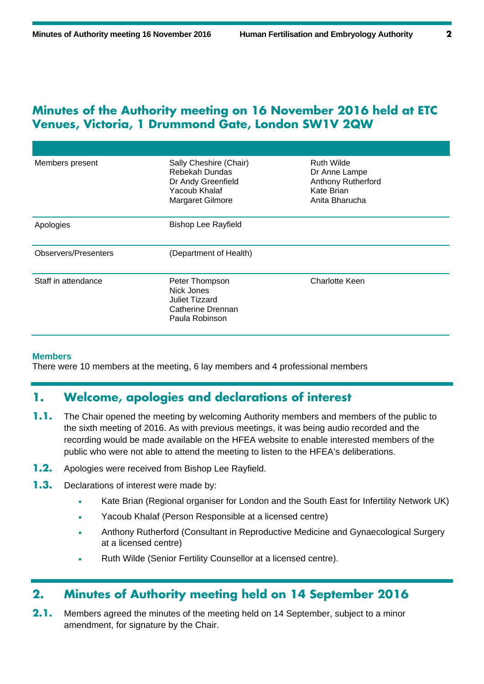# **Minutes of the Authority meeting on 16 November 2016 held at ETC Venues, Victoria, 1 Drummond Gate, London SW1V 2QW**

| Members present      | Sally Cheshire (Chair)<br>Rebekah Dundas<br>Dr Andy Greenfield<br>Yacoub Khalaf<br>Margaret Gilmore | <b>Ruth Wilde</b><br>Dr Anne Lampe<br><b>Anthony Rutherford</b><br>Kate Brian<br>Anita Bharucha |
|----------------------|-----------------------------------------------------------------------------------------------------|-------------------------------------------------------------------------------------------------|
| Apologies            | <b>Bishop Lee Rayfield</b>                                                                          |                                                                                                 |
| Observers/Presenters | (Department of Health)                                                                              |                                                                                                 |
| Staff in attendance  | Peter Thompson<br>Nick Jones<br><b>Juliet Tizzard</b><br>Catherine Drennan<br>Paula Robinson        | Charlotte Keen                                                                                  |

#### **Members**

There were 10 members at the meeting, 6 lay members and 4 professional members

# **1. Welcome, apologies and declarations of interest**

- **1.1.** The Chair opened the meeting by welcoming Authority members and members of the public to the sixth meeting of 2016. As with previous meetings, it was being audio recorded and the recording would be made available on the HFEA website to enable interested members of the public who were not able to attend the meeting to listen to the HFEA's deliberations.
- **1.2.** Apologies were received from Bishop Lee Rayfield.
- **1.3.** Declarations of interest were made by:
	- Kate Brian (Regional organiser for London and the South East for Infertility Network UK)
	- Yacoub Khalaf (Person Responsible at a licensed centre)
	- Anthony Rutherford (Consultant in Reproductive Medicine and Gynaecological Surgery at a licensed centre)
	- Ruth Wilde (Senior Fertility Counsellor at a licensed centre).

# **2. Minutes of Authority meeting held on 14 September 2016**

**2.1.** Members agreed the minutes of the meeting held on 14 September, subject to a minor amendment, for signature by the Chair.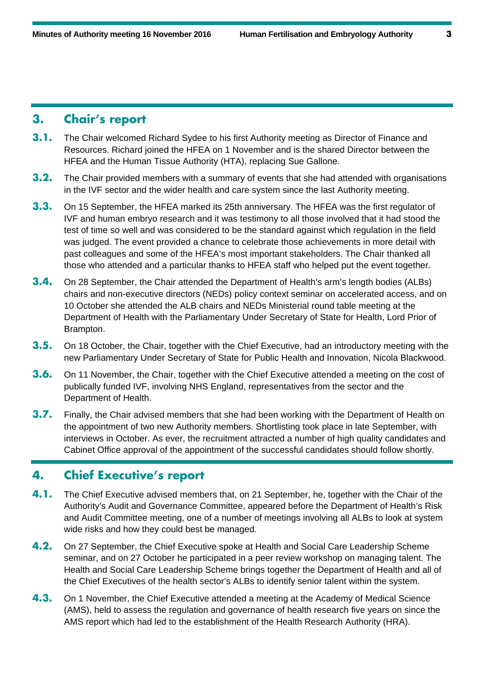# **3. Chair's report**

- **3.1.** The Chair welcomed Richard Sydee to his first Authority meeting as Director of Finance and Resources. Richard joined the HFEA on 1 November and is the shared Director between the HFEA and the Human Tissue Authority (HTA), replacing Sue Gallone.
- **3.2.** The Chair provided members with a summary of events that she had attended with organisations in the IVF sector and the wider health and care system since the last Authority meeting.
- **3.3.** On 15 September, the HFEA marked its 25th anniversary. The HFEA was the first regulator of IVF and human embryo research and it was testimony to all those involved that it had stood the test of time so well and was considered to be the standard against which regulation in the field was judged. The event provided a chance to celebrate those achievements in more detail with past colleagues and some of the HFEA's most important stakeholders. The Chair thanked all those who attended and a particular thanks to HFEA staff who helped put the event together.
- **3.4.** On 28 September, the Chair attended the Department of Health's arm's length bodies (ALBs) chairs and non-executive directors (NEDs) policy context seminar on accelerated access, and on 10 October she attended the ALB chairs and NEDs Ministerial round table meeting at the Department of Health with the Parliamentary Under Secretary of State for Health, Lord Prior of Brampton.
- **3.5.** On 18 October, the Chair, together with the Chief Executive, had an introductory meeting with the new Parliamentary Under Secretary of State for Public Health and Innovation, Nicola Blackwood.
- **3.6.** On 11 November, the Chair, together with the Chief Executive attended a meeting on the cost of publically funded IVF, involving NHS England, representatives from the sector and the Department of Health.
- **3.7.** Finally, the Chair advised members that she had been working with the Department of Health on the appointment of two new Authority members. Shortlisting took place in late September, with interviews in October. As ever, the recruitment attracted a number of high quality candidates and Cabinet Office approval of the appointment of the successful candidates should follow shortly.

### **4. Chief Executive's report**

- **4.1.** The Chief Executive advised members that, on 21 September, he, together with the Chair of the Authority's Audit and Governance Committee, appeared before the Department of Health's Risk and Audit Committee meeting, one of a number of meetings involving all ALBs to look at system wide risks and how they could best be managed.
- **4.2.** On 27 September, the Chief Executive spoke at Health and Social Care Leadership Scheme seminar, and on 27 October he participated in a peer review workshop on managing talent. The Health and Social Care Leadership Scheme brings together the Department of Health and all of the Chief Executives of the health sector's ALBs to identify senior talent within the system.
- **4.3.** On 1 November, the Chief Executive attended a meeting at the Academy of Medical Science (AMS), held to assess the regulation and governance of health research five years on since the AMS report which had led to the establishment of the Health Research Authority (HRA).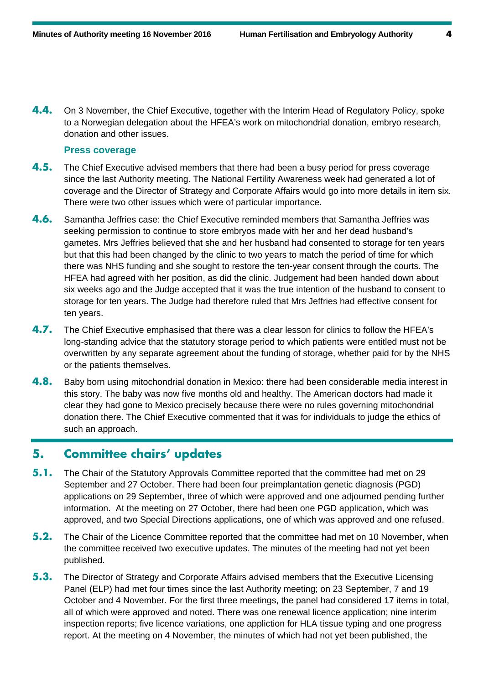**4.4.** On 3 November, the Chief Executive, together with the Interim Head of Regulatory Policy, spoke to a Norwegian delegation about the HFEA's work on mitochondrial donation, embryo research, donation and other issues.

#### **Press coverage**

- **4.5.** The Chief Executive advised members that there had been a busy period for press coverage since the last Authority meeting. The National Fertility Awareness week had generated a lot of coverage and the Director of Strategy and Corporate Affairs would go into more details in item six. There were two other issues which were of particular importance.
- **4.6.** Samantha Jeffries case: the Chief Executive reminded members that Samantha Jeffries was seeking permission to continue to store embryos made with her and her dead husband's gametes. Mrs Jeffries believed that she and her husband had consented to storage for ten years but that this had been changed by the clinic to two years to match the period of time for which there was NHS funding and she sought to restore the ten-year consent through the courts. The HFEA had agreed with her position, as did the clinic. Judgement had been handed down about six weeks ago and the Judge accepted that it was the true intention of the husband to consent to storage for ten years. The Judge had therefore ruled that Mrs Jeffries had effective consent for ten years.
- **4.7.** The Chief Executive emphasised that there was a clear lesson for clinics to follow the HFEA's long-standing advice that the statutory storage period to which patients were entitled must not be overwritten by any separate agreement about the funding of storage, whether paid for by the NHS or the patients themselves.
- **4.8.** Baby born using mitochondrial donation in Mexico: there had been considerable media interest in this story. The baby was now five months old and healthy. The American doctors had made it clear they had gone to Mexico precisely because there were no rules governing mitochondrial donation there. The Chief Executive commented that it was for individuals to judge the ethics of such an approach.

#### **5. Committee chairs' updates**

- **5.1.** The Chair of the Statutory Approvals Committee reported that the committee had met on 29 September and 27 October. There had been four preimplantation genetic diagnosis (PGD) applications on 29 September, three of which were approved and one adjourned pending further information. At the meeting on 27 October, there had been one PGD application, which was approved, and two Special Directions applications, one of which was approved and one refused.
- **5.2.** The Chair of the Licence Committee reported that the committee had met on 10 November, when the committee received two executive updates. The minutes of the meeting had not yet been published.
- **5.3.** The Director of Strategy and Corporate Affairs advised members that the Executive Licensing Panel (ELP) had met four times since the last Authority meeting; on 23 September, 7 and 19 October and 4 November. For the first three meetings, the panel had considered 17 items in total, all of which were approved and noted. There was one renewal licence application; nine interim inspection reports; five licence variations, one appliction for HLA tissue typing and one progress report. At the meeting on 4 November, the minutes of which had not yet been published, the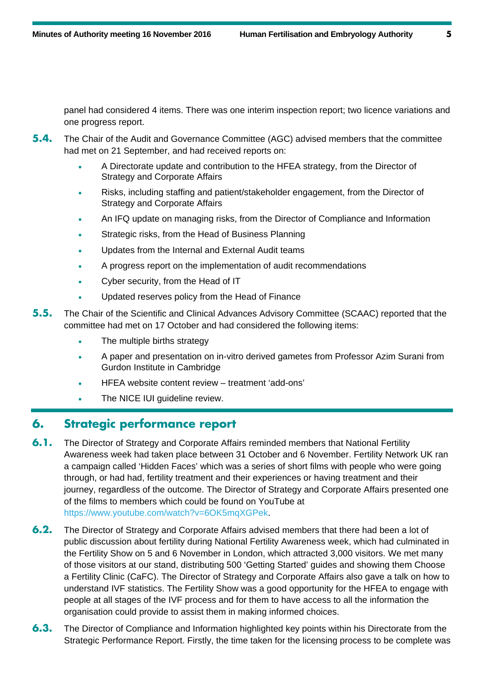panel had considered 4 items. There was one interim inspection report; two licence variations and one progress report.

- **5.4.** The Chair of the Audit and Governance Committee (AGC) advised members that the committee had met on 21 September, and had received reports on:
	- A Directorate update and contribution to the HFEA strategy, from the Director of Strategy and Corporate Affairs
	- Risks, including staffing and patient/stakeholder engagement, from the Director of Strategy and Corporate Affairs
	- An IFQ update on managing risks, from the Director of Compliance and Information
	- Strategic risks, from the Head of Business Planning
	- Updates from the Internal and External Audit teams
	- A progress report on the implementation of audit recommendations
	- Cyber security, from the Head of IT
	- Updated reserves policy from the Head of Finance
- **5.5.** The Chair of the Scientific and Clinical Advances Advisory Committee (SCAAC) reported that the committee had met on 17 October and had considered the following items:
	- The multiple births strategy
	- A paper and presentation on in-vitro derived gametes from Professor Azim Surani from Gurdon Institute in Cambridge
	- HFEA website content review treatment 'add-ons'
	- The NICE IUI quideline review.

## **6. Strategic performance report**

- **6.1.** The Director of Strategy and Corporate Affairs reminded members that National Fertility Awareness week had taken place between 31 October and 6 November. Fertility Network UK ran a campaign called 'Hidden Faces' which was a series of short films with people who were going through, or had had, fertility treatment and their experiences or having treatment and their journey, regardless of the outcome. The Director of Strategy and Corporate Affairs presented one of the films to members which could be found on YouTube at https://www.youtube.com/watch?v=6OK5mqXGPek.
- **6.2.** The Director of Strategy and Corporate Affairs advised members that there had been a lot of public discussion about fertility during National Fertility Awareness week, which had culminated in the Fertility Show on 5 and 6 November in London, which attracted 3,000 visitors. We met many of those visitors at our stand, distributing 500 'Getting Started' guides and showing them Choose a Fertility Clinic (CaFC). The Director of Strategy and Corporate Affairs also gave a talk on how to understand IVF statistics. The Fertility Show was a good opportunity for the HFEA to engage with people at all stages of the IVF process and for them to have access to all the information the organisation could provide to assist them in making informed choices.
- **6.3.** The Director of Compliance and Information highlighted key points within his Directorate from the Strategic Performance Report. Firstly, the time taken for the licensing process to be complete was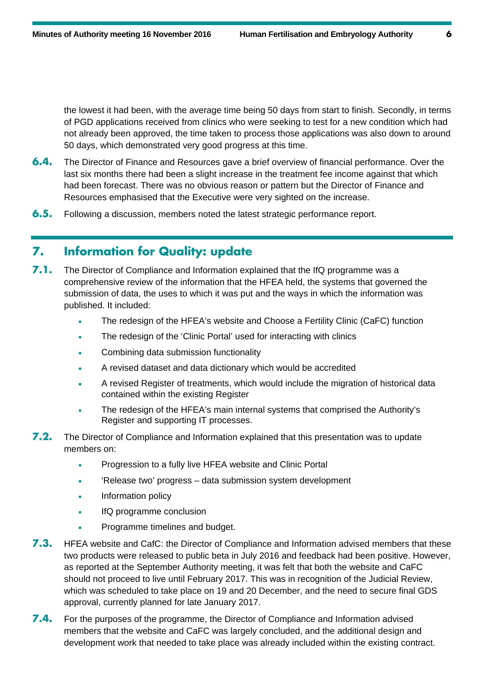the lowest it had been, with the average time being 50 days from start to finish. Secondly, in terms of PGD applications received from clinics who were seeking to test for a new condition which had not already been approved, the time taken to process those applications was also down to around 50 days, which demonstrated very good progress at this time.

- **6.4.** The Director of Finance and Resources gave a brief overview of financial performance. Over the last six months there had been a slight increase in the treatment fee income against that which had been forecast. There was no obvious reason or pattern but the Director of Finance and Resources emphasised that the Executive were very sighted on the increase.
- **6.5.** Following a discussion, members noted the latest strategic performance report.

# **7. Information for Quality: update**

- 7.1. The Director of Compliance and Information explained that the IfQ programme was a comprehensive review of the information that the HFEA held, the systems that governed the submission of data, the uses to which it was put and the ways in which the information was published. It included:
	- The redesign of the HFEA's website and Choose a Fertility Clinic (CaFC) function
	- The redesign of the 'Clinic Portal' used for interacting with clinics
	- Combining data submission functionality
	- A revised dataset and data dictionary which would be accredited
	- A revised Register of treatments, which would include the migration of historical data contained within the existing Register
	- The redesign of the HFEA's main internal systems that comprised the Authority's Register and supporting IT processes.
- **7.2.** The Director of Compliance and Information explained that this presentation was to update members on:
	- Progression to a fully live HFEA website and Clinic Portal
	- 'Release two' progress data submission system development
	- Information policy
	- IfQ programme conclusion
	- Programme timelines and budget.
- **7.3.** HFEA website and CafC: the Director of Compliance and Information advised members that these two products were released to public beta in July 2016 and feedback had been positive. However, as reported at the September Authority meeting, it was felt that both the website and CaFC should not proceed to live until February 2017. This was in recognition of the Judicial Review, which was scheduled to take place on 19 and 20 December, and the need to secure final GDS approval, currently planned for late January 2017.
- **7.4.** For the purposes of the programme, the Director of Compliance and Information advised members that the website and CaFC was largely concluded, and the additional design and development work that needed to take place was already included within the existing contract.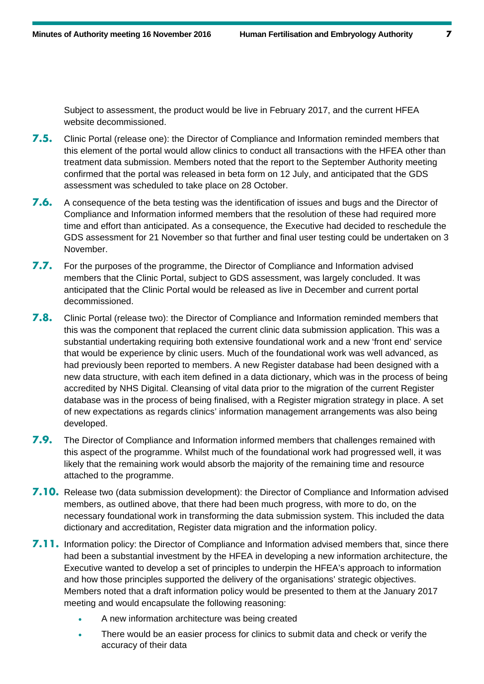Subject to assessment, the product would be live in February 2017, and the current HFEA website decommissioned.

- **7.5.** Clinic Portal (release one): the Director of Compliance and Information reminded members that this element of the portal would allow clinics to conduct all transactions with the HFEA other than treatment data submission. Members noted that the report to the September Authority meeting confirmed that the portal was released in beta form on 12 July, and anticipated that the GDS assessment was scheduled to take place on 28 October.
- **7.6.** A consequence of the beta testing was the identification of issues and bugs and the Director of Compliance and Information informed members that the resolution of these had required more time and effort than anticipated. As a consequence, the Executive had decided to reschedule the GDS assessment for 21 November so that further and final user testing could be undertaken on 3 November.
- **7.7.** For the purposes of the programme, the Director of Compliance and Information advised members that the Clinic Portal, subject to GDS assessment, was largely concluded. It was anticipated that the Clinic Portal would be released as live in December and current portal decommissioned.
- **7.8.** Clinic Portal (release two): the Director of Compliance and Information reminded members that this was the component that replaced the current clinic data submission application. This was a substantial undertaking requiring both extensive foundational work and a new 'front end' service that would be experience by clinic users. Much of the foundational work was well advanced, as had previously been reported to members. A new Register database had been designed with a new data structure, with each item defined in a data dictionary, which was in the process of being accredited by NHS Digital. Cleansing of vital data prior to the migration of the current Register database was in the process of being finalised, with a Register migration strategy in place. A set of new expectations as regards clinics' information management arrangements was also being developed.
- **7.9.** The Director of Compliance and Information informed members that challenges remained with this aspect of the programme. Whilst much of the foundational work had progressed well, it was likely that the remaining work would absorb the majority of the remaining time and resource attached to the programme.
- **7.10.** Release two (data submission development): the Director of Compliance and Information advised members, as outlined above, that there had been much progress, with more to do, on the necessary foundational work in transforming the data submission system. This included the data dictionary and accreditation, Register data migration and the information policy.
- **7.11.** Information policy: the Director of Compliance and Information advised members that, since there had been a substantial investment by the HFEA in developing a new information architecture, the Executive wanted to develop a set of principles to underpin the HFEA's approach to information and how those principles supported the delivery of the organisations' strategic objectives. Members noted that a draft information policy would be presented to them at the January 2017 meeting and would encapsulate the following reasoning:
	- A new information architecture was being created
	- There would be an easier process for clinics to submit data and check or verify the accuracy of their data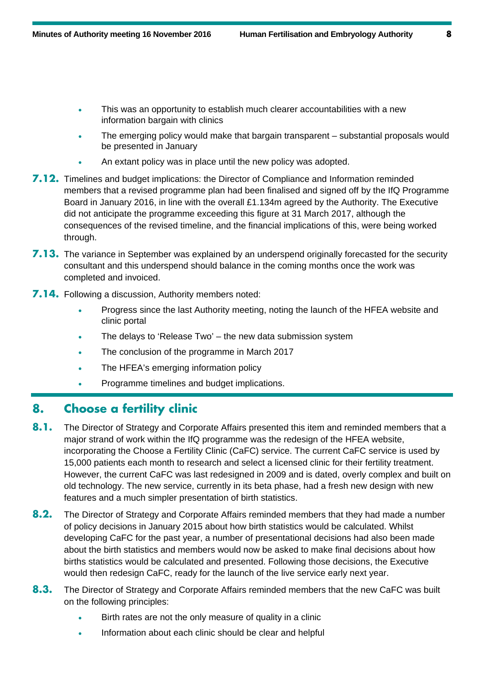- This was an opportunity to establish much clearer accountabilities with a new information bargain with clinics
- The emerging policy would make that bargain transparent substantial proposals would be presented in January
- An extant policy was in place until the new policy was adopted.
- **7.12.** Timelines and budget implications: the Director of Compliance and Information reminded members that a revised programme plan had been finalised and signed off by the IfQ Programme Board in January 2016, in line with the overall £1.134m agreed by the Authority. The Executive did not anticipate the programme exceeding this figure at 31 March 2017, although the consequences of the revised timeline, and the financial implications of this, were being worked through.
- **7.13.** The variance in September was explained by an underspend originally forecasted for the security consultant and this underspend should balance in the coming months once the work was completed and invoiced.
- **7.14.** Following a discussion, Authority members noted:
	- Progress since the last Authority meeting, noting the launch of the HFEA website and clinic portal
	- The delays to 'Release Two' the new data submission system
	- The conclusion of the programme in March 2017
	- The HFEA's emerging information policy
	- Programme timelines and budget implications.

# **8. Choose a fertility clinic**

- 8.1. The Director of Strategy and Corporate Affairs presented this item and reminded members that a major strand of work within the IfQ programme was the redesign of the HFEA website, incorporating the Choose a Fertility Clinic (CaFC) service. The current CaFC service is used by 15,000 patients each month to research and select a licensed clinic for their fertility treatment. However, the current CaFC was last redesigned in 2009 and is dated, overly complex and built on old technology. The new service, currently in its beta phase, had a fresh new design with new features and a much simpler presentation of birth statistics.
- **8.2.** The Director of Strategy and Corporate Affairs reminded members that they had made a number of policy decisions in January 2015 about how birth statistics would be calculated. Whilst developing CaFC for the past year, a number of presentational decisions had also been made about the birth statistics and members would now be asked to make final decisions about how births statistics would be calculated and presented. Following those decisions, the Executive would then redesign CaFC, ready for the launch of the live service early next year.
- **8.3.** The Director of Strategy and Corporate Affairs reminded members that the new CaFC was built on the following principles:
	- Birth rates are not the only measure of quality in a clinic
	- Information about each clinic should be clear and helpful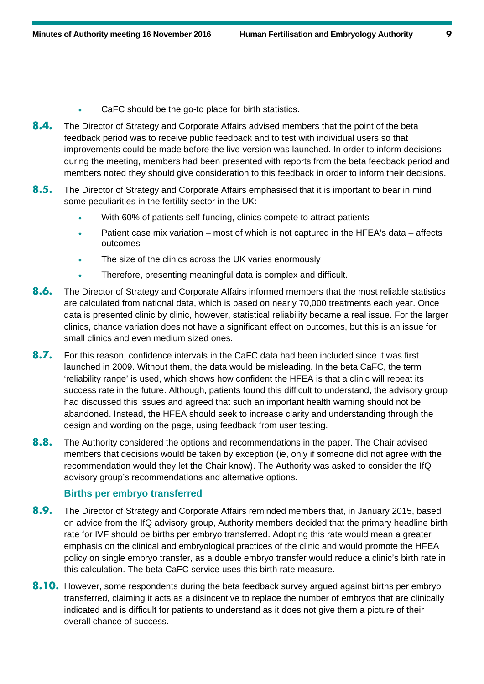- CaFC should be the go-to place for birth statistics.
- **8.4.** The Director of Strategy and Corporate Affairs advised members that the point of the beta feedback period was to receive public feedback and to test with individual users so that improvements could be made before the live version was launched. In order to inform decisions during the meeting, members had been presented with reports from the beta feedback period and members noted they should give consideration to this feedback in order to inform their decisions.
- **8.5.** The Director of Strategy and Corporate Affairs emphasised that it is important to bear in mind some peculiarities in the fertility sector in the UK:
	- With 60% of patients self-funding, clinics compete to attract patients
	- Patient case mix variation most of which is not captured in the HFEA's data affects outcomes
	- The size of the clinics across the UK varies enormously
	- Therefore, presenting meaningful data is complex and difficult.
- **8.6.** The Director of Strategy and Corporate Affairs informed members that the most reliable statistics are calculated from national data, which is based on nearly 70,000 treatments each year. Once data is presented clinic by clinic, however, statistical reliability became a real issue. For the larger clinics, chance variation does not have a significant effect on outcomes, but this is an issue for small clinics and even medium sized ones.
- **8.7.** For this reason, confidence intervals in the CaFC data had been included since it was first launched in 2009. Without them, the data would be misleading. In the beta CaFC, the term 'reliability range' is used, which shows how confident the HFEA is that a clinic will repeat its success rate in the future. Although, patients found this difficult to understand, the advisory group had discussed this issues and agreed that such an important health warning should not be abandoned. Instead, the HFEA should seek to increase clarity and understanding through the design and wording on the page, using feedback from user testing.
- **8.8.** The Authority considered the options and recommendations in the paper. The Chair advised members that decisions would be taken by exception (ie, only if someone did not agree with the recommendation would they let the Chair know). The Authority was asked to consider the IfQ advisory group's recommendations and alternative options.

#### **Births per embryo transferred**

- **8.9.** The Director of Strategy and Corporate Affairs reminded members that, in January 2015, based on advice from the IfQ advisory group, Authority members decided that the primary headline birth rate for IVF should be births per embryo transferred. Adopting this rate would mean a greater emphasis on the clinical and embryological practices of the clinic and would promote the HFEA policy on single embryo transfer, as a double embryo transfer would reduce a clinic's birth rate in this calculation. The beta CaFC service uses this birth rate measure.
- **8.10.** However, some respondents during the beta feedback survey argued against births per embryo transferred, claiming it acts as a disincentive to replace the number of embryos that are clinically indicated and is difficult for patients to understand as it does not give them a picture of their overall chance of success.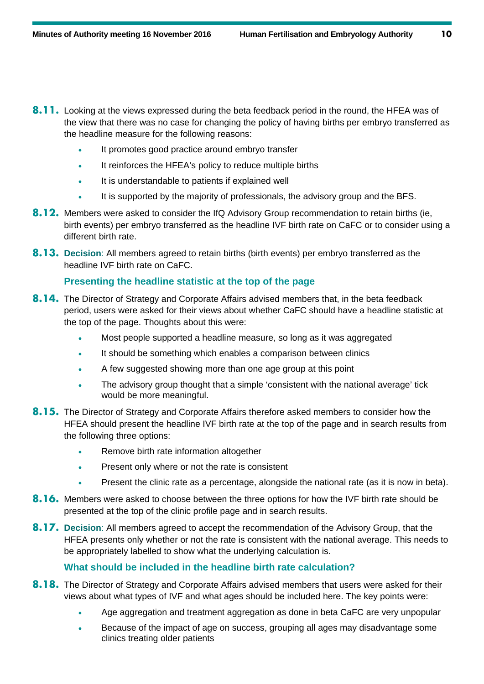- **8.11.** Looking at the views expressed during the beta feedback period in the round, the HFEA was of the view that there was no case for changing the policy of having births per embryo transferred as the headline measure for the following reasons:
	- It promotes good practice around embryo transfer
	- It reinforces the HFEA's policy to reduce multiple births
	- It is understandable to patients if explained well
	- It is supported by the majority of professionals, the advisory group and the BFS.
- **8.12.** Members were asked to consider the IfQ Advisory Group recommendation to retain births (ie, birth events) per embryo transferred as the headline IVF birth rate on CaFC or to consider using a different birth rate.
- **8.13. Decision**: All members agreed to retain births (birth events) per embryo transferred as the headline IVF birth rate on CaFC.

#### **Presenting the headline statistic at the top of the page**

- **8.14.** The Director of Strategy and Corporate Affairs advised members that, in the beta feedback period, users were asked for their views about whether CaFC should have a headline statistic at the top of the page. Thoughts about this were:
	- Most people supported a headline measure, so long as it was aggregated
	- It should be something which enables a comparison between clinics
	- A few suggested showing more than one age group at this point
	- The advisory group thought that a simple 'consistent with the national average' tick would be more meaningful.
- **8.15.** The Director of Strategy and Corporate Affairs therefore asked members to consider how the HFEA should present the headline IVF birth rate at the top of the page and in search results from the following three options:
	- Remove birth rate information altogether
	- Present only where or not the rate is consistent
	- Present the clinic rate as a percentage, alongside the national rate (as it is now in beta).
- **8.16.** Members were asked to choose between the three options for how the IVF birth rate should be presented at the top of the clinic profile page and in search results.
- **8.17. Decision**: All members agreed to accept the recommendation of the Advisory Group, that the HFEA presents only whether or not the rate is consistent with the national average. This needs to be appropriately labelled to show what the underlying calculation is.

#### **What should be included in the headline birth rate calculation?**

- **8.18.** The Director of Strategy and Corporate Affairs advised members that users were asked for their views about what types of IVF and what ages should be included here. The key points were:
	- Age aggregation and treatment aggregation as done in beta CaFC are very unpopular
	- Because of the impact of age on success, grouping all ages may disadvantage some clinics treating older patients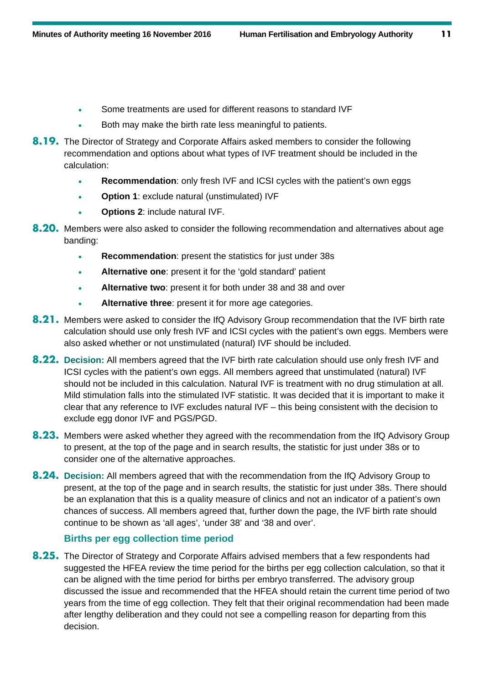- Some treatments are used for different reasons to standard IVF
- Both may make the birth rate less meaningful to patients.
- **8.19.** The Director of Strategy and Corporate Affairs asked members to consider the following recommendation and options about what types of IVF treatment should be included in the calculation:
	- **Recommendation:** only fresh IVF and ICSI cycles with the patient's own eggs
	- **Option 1**: exclude natural (unstimulated) IVF
	- **Options 2**: include natural IVF.
- **8.20.** Members were also asked to consider the following recommendation and alternatives about age banding:
	- **Recommendation**: present the statistics for just under 38s
	- **Alternative one**: present it for the 'gold standard' patient
	- **Alternative two**: present it for both under 38 and 38 and over
	- **Alternative three**: present it for more age categories.
- **8.21.** Members were asked to consider the IfQ Advisory Group recommendation that the IVF birth rate calculation should use only fresh IVF and ICSI cycles with the patient's own eggs. Members were also asked whether or not unstimulated (natural) IVF should be included.
- **8.22. Decision:** All members agreed that the IVF birth rate calculation should use only fresh IVF and ICSI cycles with the patient's own eggs. All members agreed that unstimulated (natural) IVF should not be included in this calculation. Natural IVF is treatment with no drug stimulation at all. Mild stimulation falls into the stimulated IVF statistic. It was decided that it is important to make it clear that any reference to IVF excludes natural IVF – this being consistent with the decision to exclude egg donor IVF and PGS/PGD.
- **8.23.** Members were asked whether they agreed with the recommendation from the IfQ Advisory Group to present, at the top of the page and in search results, the statistic for just under 38s or to consider one of the alternative approaches.
- **8.24. Decision:** All members agreed that with the recommendation from the IfQ Advisory Group to present, at the top of the page and in search results, the statistic for just under 38s. There should be an explanation that this is a quality measure of clinics and not an indicator of a patient's own chances of success. All members agreed that, further down the page, the IVF birth rate should continue to be shown as 'all ages', 'under 38' and '38 and over'.

#### **Births per egg collection time period**

**8.25.** The Director of Strategy and Corporate Affairs advised members that a few respondents had suggested the HFEA review the time period for the births per egg collection calculation, so that it can be aligned with the time period for births per embryo transferred. The advisory group discussed the issue and recommended that the HFEA should retain the current time period of two years from the time of egg collection. They felt that their original recommendation had been made after lengthy deliberation and they could not see a compelling reason for departing from this decision.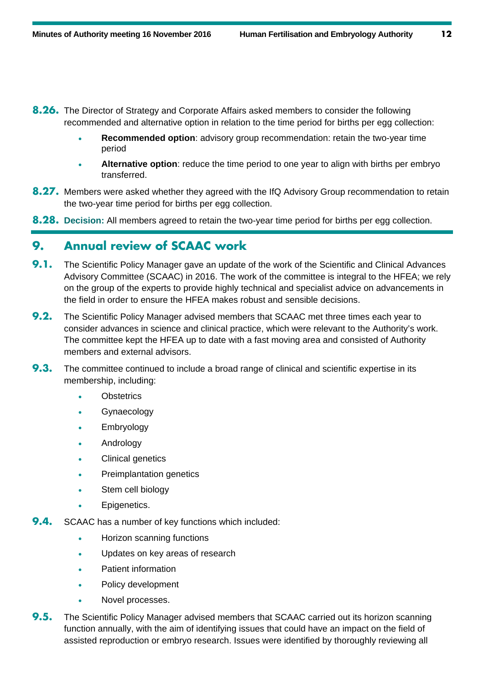- **8.26.** The Director of Strategy and Corporate Affairs asked members to consider the following recommended and alternative option in relation to the time period for births per egg collection:
	- **Recommended option**: advisory group recommendation: retain the two-year time period
	- **Alternative option**: reduce the time period to one year to align with births per embryo transferred.
- **8.27.** Members were asked whether they agreed with the IfQ Advisory Group recommendation to retain the two-year time period for births per egg collection.
- **8.28. Decision:** All members agreed to retain the two-year time period for births per egg collection.

# **9. Annual review of SCAAC work**

- **9.1.** The Scientific Policy Manager gave an update of the work of the Scientific and Clinical Advances Advisory Committee (SCAAC) in 2016. The work of the committee is integral to the HFEA; we rely on the group of the experts to provide highly technical and specialist advice on advancements in the field in order to ensure the HFEA makes robust and sensible decisions.
- **9.2.** The Scientific Policy Manager advised members that SCAAC met three times each year to consider advances in science and clinical practice, which were relevant to the Authority's work. The committee kept the HFEA up to date with a fast moving area and consisted of Authority members and external advisors.
- **9.3.** The committee continued to include a broad range of clinical and scientific expertise in its membership, including:
	- **Obstetrics**
	- **Gynaecology**
	- **Embryology**
	- Andrology
	- Clinical genetics
	- Preimplantation genetics
	- Stem cell biology
	- Epigenetics.
- **9.4.** SCAAC has a number of key functions which included:
	- Horizon scanning functions
	- Updates on key areas of research
	- Patient information
	- Policy development
	- Novel processes.
- **9.5.** The Scientific Policy Manager advised members that SCAAC carried out its horizon scanning function annually, with the aim of identifying issues that could have an impact on the field of assisted reproduction or embryo research. Issues were identified by thoroughly reviewing all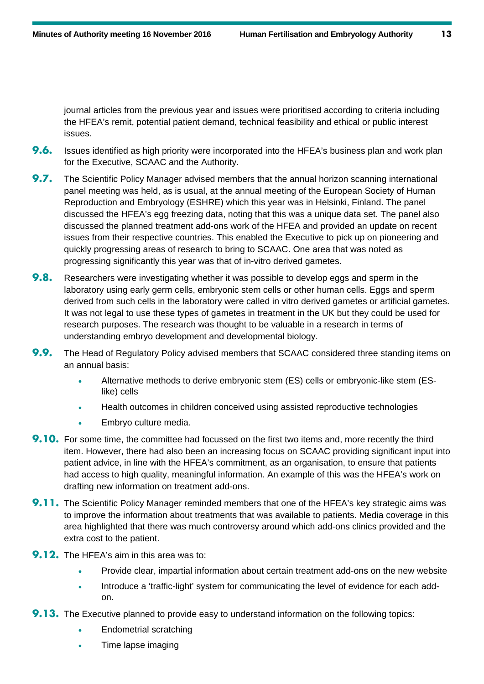journal articles from the previous year and issues were prioritised according to criteria including the HFEA's remit, potential patient demand, technical feasibility and ethical or public interest issues.

- **9.6.** Issues identified as high priority were incorporated into the HFEA's business plan and work plan for the Executive, SCAAC and the Authority.
- **9.7.** The Scientific Policy Manager advised members that the annual horizon scanning international panel meeting was held, as is usual, at the annual meeting of the European Society of Human Reproduction and Embryology (ESHRE) which this year was in Helsinki, Finland. The panel discussed the HFEA's egg freezing data, noting that this was a unique data set. The panel also discussed the planned treatment add-ons work of the HFEA and provided an update on recent issues from their respective countries. This enabled the Executive to pick up on pioneering and quickly progressing areas of research to bring to SCAAC. One area that was noted as progressing significantly this year was that of in-vitro derived gametes.
- **9.8.** Researchers were investigating whether it was possible to develop eggs and sperm in the laboratory using early germ cells, embryonic stem cells or other human cells. Eggs and sperm derived from such cells in the laboratory were called in vitro derived gametes or artificial gametes. It was not legal to use these types of gametes in treatment in the UK but they could be used for research purposes. The research was thought to be valuable in a research in terms of understanding embryo development and developmental biology.
- **9.9.** The Head of Regulatory Policy advised members that SCAAC considered three standing items on an annual basis:
	- Alternative methods to derive embryonic stem (ES) cells or embryonic-like stem (ESlike) cells
	- Health outcomes in children conceived using assisted reproductive technologies
	- Embryo culture media.
- **9.10.** For some time, the committee had focussed on the first two items and, more recently the third item. However, there had also been an increasing focus on SCAAC providing significant input into patient advice, in line with the HFEA's commitment, as an organisation, to ensure that patients had access to high quality, meaningful information. An example of this was the HFEA's work on drafting new information on treatment add-ons.
- **9.11.** The Scientific Policy Manager reminded members that one of the HFEA's key strategic aims was to improve the information about treatments that was available to patients. Media coverage in this area highlighted that there was much controversy around which add-ons clinics provided and the extra cost to the patient.
- **9.12.** The HFEA's aim in this area was to:
	- Provide clear, impartial information about certain treatment add-ons on the new website
	- Introduce a 'traffic-light' system for communicating the level of evidence for each addon.
- **9.13.** The Executive planned to provide easy to understand information on the following topics:
	- Endometrial scratching
	- Time lapse imaging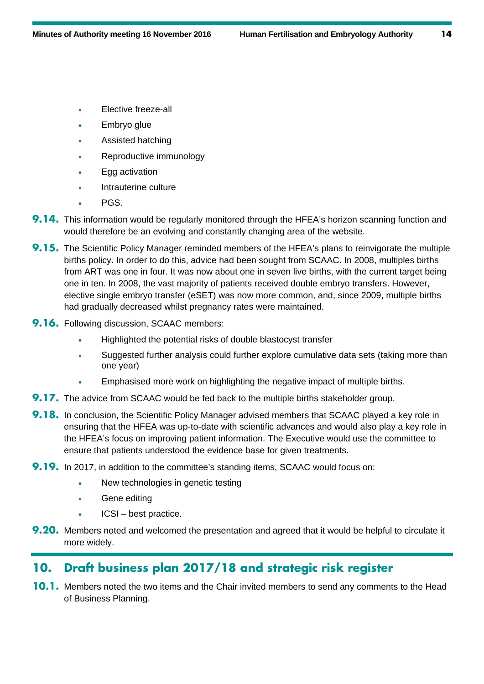- Elective freeze-all
- Embryo glue
- Assisted hatching
- Reproductive immunology
- Egg activation
- Intrauterine culture
- PGS.
- **9.14.** This information would be regularly monitored through the HFEA's horizon scanning function and would therefore be an evolving and constantly changing area of the website.
- **9.15.** The Scientific Policy Manager reminded members of the HFEA's plans to reinvigorate the multiple births policy. In order to do this, advice had been sought from SCAAC. In 2008, multiples births from ART was one in four. It was now about one in seven live births, with the current target being one in ten. In 2008, the vast majority of patients received double embryo transfers. However, elective single embryo transfer (eSET) was now more common, and, since 2009, multiple births had gradually decreased whilst pregnancy rates were maintained.
- **9.16.** Following discussion, SCAAC members:
	- Highlighted the potential risks of double blastocyst transfer
	- Suggested further analysis could further explore cumulative data sets (taking more than one year)
	- Emphasised more work on highlighting the negative impact of multiple births.
- **9.17.** The advice from SCAAC would be fed back to the multiple births stakeholder group.
- **9.18.** In conclusion, the Scientific Policy Manager advised members that SCAAC played a key role in ensuring that the HFEA was up-to-date with scientific advances and would also play a key role in the HFEA's focus on improving patient information. The Executive would use the committee to ensure that patients understood the evidence base for given treatments.
- **9.19.** In 2017, in addition to the committee's standing items, SCAAC would focus on:
	- New technologies in genetic testing
	- Gene editing
	- ICSI best practice.
- **9.20.** Members noted and welcomed the presentation and agreed that it would be helpful to circulate it more widely.

## **10. Draft business plan 2017/18 and strategic risk register**

**10.1.** Members noted the two items and the Chair invited members to send any comments to the Head of Business Planning.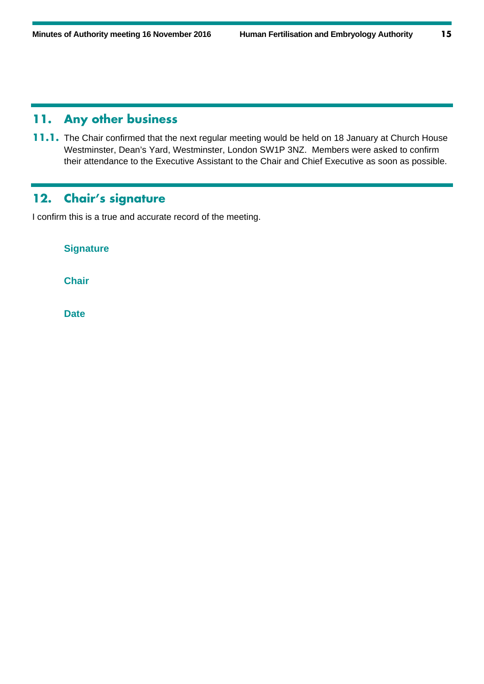# **11. Any other business**

**11.1.** The Chair confirmed that the next regular meeting would be held on 18 January at Church House Westminster, Dean's Yard, Westminster, London SW1P 3NZ. Members were asked to confirm their attendance to the Executive Assistant to the Chair and Chief Executive as soon as possible.

# **12. Chair's signature**

I confirm this is a true and accurate record of the meeting.

**Signature** 

**Chair**

**Date**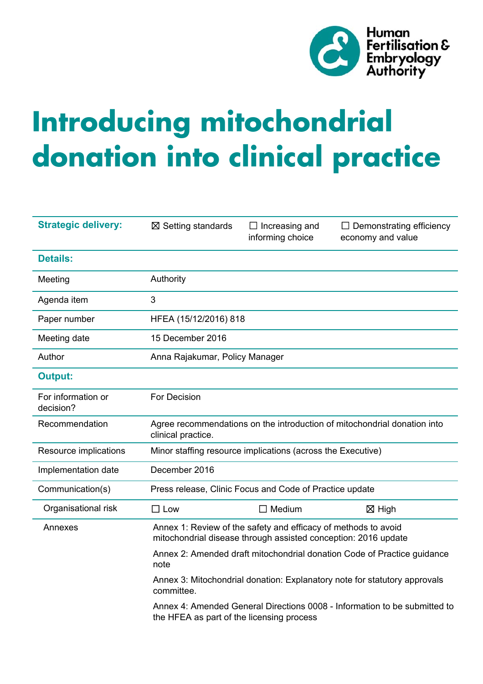

# **Introducing mitochondrial donation into clinical practice**

| <b>Strategic delivery:</b>      | $\boxtimes$ Setting standards                                                                  | $\Box$ Increasing and<br>informing choice                                                                                        | $\Box$ Demonstrating efficiency<br>economy and value                      |
|---------------------------------|------------------------------------------------------------------------------------------------|----------------------------------------------------------------------------------------------------------------------------------|---------------------------------------------------------------------------|
| <b>Details:</b>                 |                                                                                                |                                                                                                                                  |                                                                           |
| Meeting                         | Authority                                                                                      |                                                                                                                                  |                                                                           |
| Agenda item                     | 3                                                                                              |                                                                                                                                  |                                                                           |
| Paper number                    | HFEA (15/12/2016) 818                                                                          |                                                                                                                                  |                                                                           |
| Meeting date                    | 15 December 2016                                                                               |                                                                                                                                  |                                                                           |
| Author                          | Anna Rajakumar, Policy Manager                                                                 |                                                                                                                                  |                                                                           |
| <b>Output:</b>                  |                                                                                                |                                                                                                                                  |                                                                           |
| For information or<br>decision? | For Decision                                                                                   |                                                                                                                                  |                                                                           |
| Recommendation                  | Agree recommendations on the introduction of mitochondrial donation into<br>clinical practice. |                                                                                                                                  |                                                                           |
| Resource implications           | Minor staffing resource implications (across the Executive)                                    |                                                                                                                                  |                                                                           |
| Implementation date             | December 2016                                                                                  |                                                                                                                                  |                                                                           |
| Communication(s)                | Press release, Clinic Focus and Code of Practice update                                        |                                                                                                                                  |                                                                           |
| Organisational risk             | $\Box$ Low                                                                                     | $\Box$ Medium                                                                                                                    | $\boxtimes$ High                                                          |
| Annexes                         |                                                                                                | Annex 1: Review of the safety and efficacy of methods to avoid<br>mitochondrial disease through assisted conception: 2016 update |                                                                           |
|                                 | note                                                                                           |                                                                                                                                  | Annex 2: Amended draft mitochondrial donation Code of Practice guidance   |
|                                 | committee.                                                                                     |                                                                                                                                  | Annex 3: Mitochondrial donation: Explanatory note for statutory approvals |
|                                 | the HFEA as part of the licensing process                                                      |                                                                                                                                  | Annex 4: Amended General Directions 0008 - Information to be submitted to |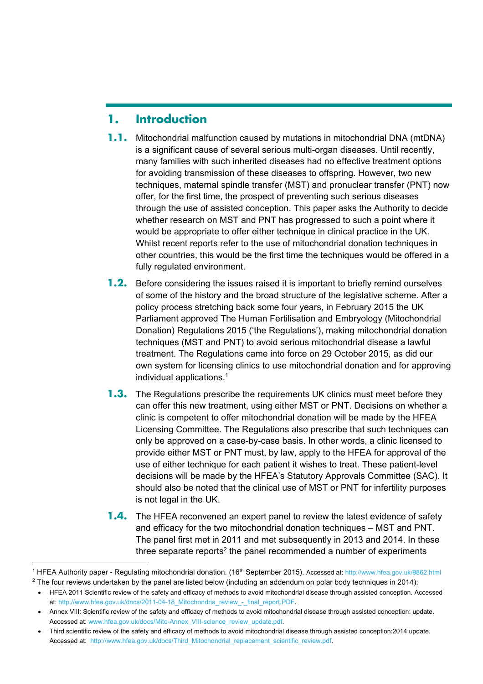# **1. Introduction**

- **1.1.** Mitochondrial malfunction caused by mutations in mitochondrial DNA (mtDNA) is a significant cause of several serious multi-organ diseases. Until recently, many families with such inherited diseases had no effective treatment options for avoiding transmission of these diseases to offspring. However, two new techniques, maternal spindle transfer (MST) and pronuclear transfer (PNT) now offer, for the first time, the prospect of preventing such serious diseases through the use of assisted conception. This paper asks the Authority to decide whether research on MST and PNT has progressed to such a point where it would be appropriate to offer either technique in clinical practice in the UK. Whilst recent reports refer to the use of mitochondrial donation techniques in other countries, this would be the first time the techniques would be offered in a fully regulated environment.
- **1.2.** Before considering the issues raised it is important to briefly remind ourselves of some of the history and the broad structure of the legislative scheme. After a policy process stretching back some four years, in February 2015 the UK Parliament approved The Human Fertilisation and Embryology (Mitochondrial Donation) Regulations 2015 ('the Regulations'), making mitochondrial donation techniques (MST and PNT) to avoid serious mitochondrial disease a lawful treatment. The Regulations came into force on 29 October 2015, as did our own system for licensing clinics to use mitochondrial donation and for approving individual applications.1
- **1.3.** The Regulations prescribe the requirements UK clinics must meet before they can offer this new treatment, using either MST or PNT. Decisions on whether a clinic is competent to offer mitochondrial donation will be made by the HFEA Licensing Committee. The Regulations also prescribe that such techniques can only be approved on a case-by-case basis. In other words, a clinic licensed to provide either MST or PNT must, by law, apply to the HFEA for approval of the use of either technique for each patient it wishes to treat. These patient-level decisions will be made by the HFEA's Statutory Approvals Committee (SAC). It should also be noted that the clinical use of MST or PNT for infertility purposes is not legal in the UK.
- **1.4.** The HFEA reconvened an expert panel to review the latest evidence of safety and efficacy for the two mitochondrial donation techniques – MST and PNT. The panel first met in 2011 and met subsequently in 2013 and 2014. In these three separate reports<sup>2</sup> the panel recommended a number of experiments

<sup>1</sup> HFEA Authority paper - Regulating mitochondrial donation. (16th September 2015). Accessed at: http://www.hfea.gov.uk/9862.html  $2$  The four reviews undertaken by the panel are listed below (including an addendum on polar body techniques in 2014):

<sup>•</sup> HFEA 2011 Scientific review of the safety and efficacy of methods to avoid mitochondrial disease through assisted conception. Accessed at: http://www.hfea.gov.uk/docs/2011-04-18 Mitochondria\_review\_-\_final\_report.PDF

Annex VIII: Scientific review of the safety and efficacy of methods to avoid mitochondrial disease through assisted conception: update. Accessed at: www.hfea.gov.uk/docs/Mito-Annex\_VIII-science\_review\_update.pdf.

Third scientific review of the safety and efficacy of methods to avoid mitochondrial disease through assisted conception:2014 update. Accessed at: http://www.hfea.gov.uk/docs/Third\_Mitochondrial\_replacement\_scientific\_review.pdf.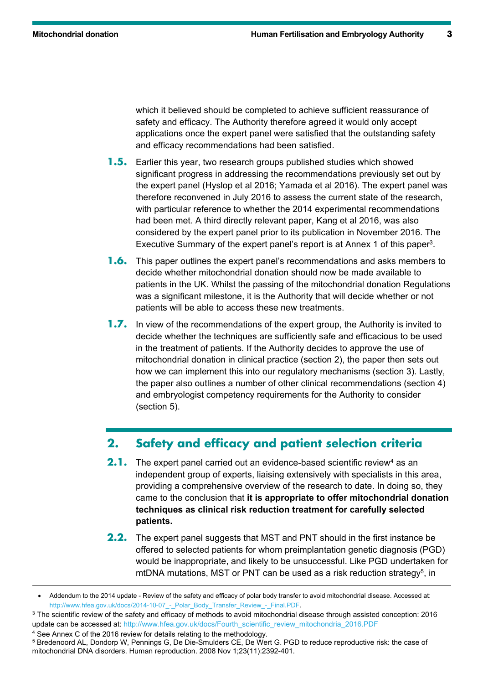which it believed should be completed to achieve sufficient reassurance of safety and efficacy. The Authority therefore agreed it would only accept applications once the expert panel were satisfied that the outstanding safety and efficacy recommendations had been satisfied.

- **1.5.** Earlier this year, two research groups published studies which showed significant progress in addressing the recommendations previously set out by the expert panel (Hyslop et al 2016; Yamada et al 2016). The expert panel was therefore reconvened in July 2016 to assess the current state of the research, with particular reference to whether the 2014 experimental recommendations had been met. A third directly relevant paper, Kang et al 2016, was also considered by the expert panel prior to its publication in November 2016. The Executive Summary of the expert panel's report is at Annex 1 of this paper<sup>3</sup>.
- **1.6.** This paper outlines the expert panel's recommendations and asks members to decide whether mitochondrial donation should now be made available to patients in the UK. Whilst the passing of the mitochondrial donation Regulations was a significant milestone, it is the Authority that will decide whether or not patients will be able to access these new treatments.
- **1.7.** In view of the recommendations of the expert group, the Authority is invited to decide whether the techniques are sufficiently safe and efficacious to be used in the treatment of patients. If the Authority decides to approve the use of mitochondrial donation in clinical practice (section 2), the paper then sets out how we can implement this into our regulatory mechanisms (section 3). Lastly, the paper also outlines a number of other clinical recommendations (section 4) and embryologist competency requirements for the Authority to consider (section 5).

# **2. Safety and efficacy and patient selection criteria**

- **2.1.** The expert panel carried out an evidence-based scientific review<sup>4</sup> as an independent group of experts, liaising extensively with specialists in this area, providing a comprehensive overview of the research to date. In doing so, they came to the conclusion that **it is appropriate to offer mitochondrial donation techniques as clinical risk reduction treatment for carefully selected patients.**
- **2.2.** The expert panel suggests that MST and PNT should in the first instance be offered to selected patients for whom preimplantation genetic diagnosis (PGD) would be inappropriate, and likely to be unsuccessful. Like PGD undertaken for mtDNA mutations, MST or PNT can be used as a risk reduction strategy<sup>5</sup>, in

Addendum to the 2014 update - Review of the safety and efficacy of polar body transfer to avoid mitochondrial disease. Accessed at: http://www.hfea.gov.uk/docs/2014-10-07\_-\_Polar\_Body\_Transfer\_Review\_-\_Final.PDF.

 $3$  The scientific review of the safety and efficacy of methods to avoid mitochondrial disease through assisted conception: 2016 update can be accessed at: http://www.hfea.gov.uk/docs/Fourth\_scientific\_review\_mitochondria\_2016.PDF

<sup>&</sup>lt;sup>4</sup> See Annex C of the 2016 review for details relating to the methodology.<br><sup>5</sup> Bredenoord AL, Dondorp W, Pennings G, De Die-Smulders CE, De Wert G. PGD to reduce reproductive risk: the case of mitochondrial DNA disorders. Human reproduction. 2008 Nov 1;23(11):2392-401.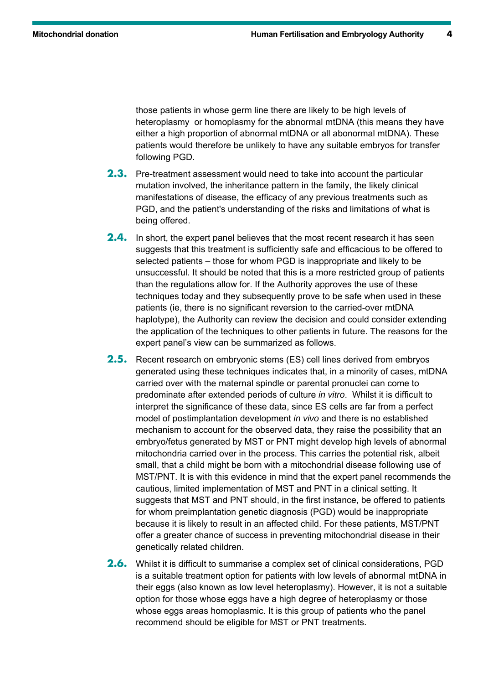those patients in whose germ line there are likely to be high levels of heteroplasmy or homoplasmy for the abnormal mtDNA (this means they have either a high proportion of abnormal mtDNA or all abonormal mtDNA). These patients would therefore be unlikely to have any suitable embryos for transfer following PGD.

- **2.3.** Pre-treatment assessment would need to take into account the particular mutation involved, the inheritance pattern in the family, the likely clinical manifestations of disease, the efficacy of any previous treatments such as PGD, and the patient's understanding of the risks and limitations of what is being offered.
- **2.4.** In short, the expert panel believes that the most recent research it has seen suggests that this treatment is sufficiently safe and efficacious to be offered to selected patients – those for whom PGD is inappropriate and likely to be unsuccessful. It should be noted that this is a more restricted group of patients than the regulations allow for. If the Authority approves the use of these techniques today and they subsequently prove to be safe when used in these patients (ie, there is no significant reversion to the carried-over mtDNA haplotype), the Authority can review the decision and could consider extending the application of the techniques to other patients in future. The reasons for the expert panel's view can be summarized as follows.
- **2.5.** Recent research on embryonic stems (ES) cell lines derived from embryos generated using these techniques indicates that, in a minority of cases, mtDNA carried over with the maternal spindle or parental pronuclei can come to predominate after extended periods of culture *in vitro*. Whilst it is difficult to interpret the significance of these data, since ES cells are far from a perfect model of postimplantation development *in vivo* and there is no established mechanism to account for the observed data, they raise the possibility that an embryo/fetus generated by MST or PNT might develop high levels of abnormal mitochondria carried over in the process. This carries the potential risk, albeit small, that a child might be born with a mitochondrial disease following use of MST/PNT. It is with this evidence in mind that the expert panel recommends the cautious, limited implementation of MST and PNT in a clinical setting. It suggests that MST and PNT should, in the first instance, be offered to patients for whom preimplantation genetic diagnosis (PGD) would be inappropriate because it is likely to result in an affected child. For these patients, MST/PNT offer a greater chance of success in preventing mitochondrial disease in their genetically related children.
- **2.6.** Whilst it is difficult to summarise a complex set of clinical considerations, PGD is a suitable treatment option for patients with low levels of abnormal mtDNA in their eggs (also known as low level heteroplasmy). However, it is not a suitable option for those whose eggs have a high degree of heteroplasmy or those whose eggs areas homoplasmic. It is this group of patients who the panel recommend should be eligible for MST or PNT treatments.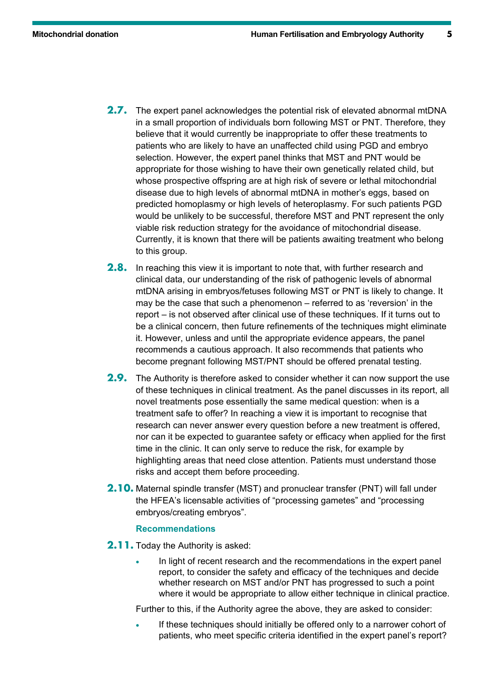- **2.7.** The expert panel acknowledges the potential risk of elevated abnormal mtDNA in a small proportion of individuals born following MST or PNT. Therefore, they believe that it would currently be inappropriate to offer these treatments to patients who are likely to have an unaffected child using PGD and embryo selection. However, the expert panel thinks that MST and PNT would be appropriate for those wishing to have their own genetically related child, but whose prospective offspring are at high risk of severe or lethal mitochondrial disease due to high levels of abnormal mtDNA in mother's eggs, based on predicted homoplasmy or high levels of heteroplasmy. For such patients PGD would be unlikely to be successful, therefore MST and PNT represent the only viable risk reduction strategy for the avoidance of mitochondrial disease. Currently, it is known that there will be patients awaiting treatment who belong to this group.
- **2.8.** In reaching this view it is important to note that, with further research and clinical data, our understanding of the risk of pathogenic levels of abnormal mtDNA arising in embryos/fetuses following MST or PNT is likely to change. It may be the case that such a phenomenon – referred to as 'reversion' in the report – is not observed after clinical use of these techniques. If it turns out to be a clinical concern, then future refinements of the techniques might eliminate it. However, unless and until the appropriate evidence appears, the panel recommends a cautious approach. It also recommends that patients who become pregnant following MST/PNT should be offered prenatal testing.
- **2.9.** The Authority is therefore asked to consider whether it can now support the use of these techniques in clinical treatment. As the panel discusses in its report, all novel treatments pose essentially the same medical question: when is a treatment safe to offer? In reaching a view it is important to recognise that research can never answer every question before a new treatment is offered, nor can it be expected to guarantee safety or efficacy when applied for the first time in the clinic. It can only serve to reduce the risk, for example by highlighting areas that need close attention. Patients must understand those risks and accept them before proceeding.
- **2.10.** Maternal spindle transfer (MST) and pronuclear transfer (PNT) will fall under the HFEA's licensable activities of "processing gametes" and "processing embryos/creating embryos".

#### **Recommendations**

- **2.11.** Today the Authority is asked:
	- In light of recent research and the recommendations in the expert panel report, to consider the safety and efficacy of the techniques and decide whether research on MST and/or PNT has progressed to such a point where it would be appropriate to allow either technique in clinical practice.

Further to this, if the Authority agree the above, they are asked to consider:

 If these techniques should initially be offered only to a narrower cohort of patients, who meet specific criteria identified in the expert panel's report?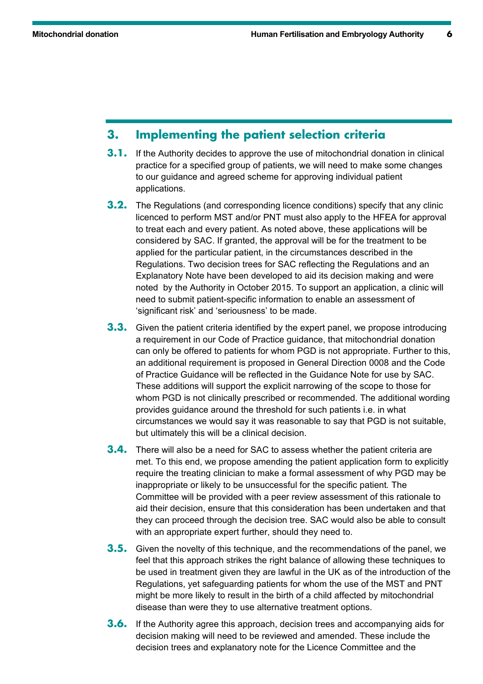# **3. Implementing the patient selection criteria**

- **3.1.** If the Authority decides to approve the use of mitochondrial donation in clinical practice for a specified group of patients, we will need to make some changes to our guidance and agreed scheme for approving individual patient applications.
- **3.2.** The Regulations (and corresponding licence conditions) specify that any clinic licenced to perform MST and/or PNT must also apply to the HFEA for approval to treat each and every patient. As noted above, these applications will be considered by SAC. If granted, the approval will be for the treatment to be applied for the particular patient, in the circumstances described in the Regulations. Two decision trees for SAC reflecting the Regulations and an Explanatory Note have been developed to aid its decision making and were noted by the Authority in October 2015. To support an application, a clinic will need to submit patient-specific information to enable an assessment of 'significant risk' and 'seriousness' to be made.
- **3.3.** Given the patient criteria identified by the expert panel, we propose introducing a requirement in our Code of Practice guidance, that mitochondrial donation can only be offered to patients for whom PGD is not appropriate. Further to this, an additional requirement is proposed in General Direction 0008 and the Code of Practice Guidance will be reflected in the Guidance Note for use by SAC. These additions will support the explicit narrowing of the scope to those for whom PGD is not clinically prescribed or recommended. The additional wording provides guidance around the threshold for such patients i.e. in what circumstances we would say it was reasonable to say that PGD is not suitable, but ultimately this will be a clinical decision.
- **3.4.** There will also be a need for SAC to assess whether the patient criteria are met. To this end, we propose amending the patient application form to explicitly require the treating clinician to make a formal assessment of why PGD may be inappropriate or likely to be unsuccessful for the specific patient*.* The Committee will be provided with a peer review assessment of this rationale to aid their decision, ensure that this consideration has been undertaken and that they can proceed through the decision tree. SAC would also be able to consult with an appropriate expert further, should they need to.
- **3.5.** Given the novelty of this technique, and the recommendations of the panel, we feel that this approach strikes the right balance of allowing these techniques to be used in treatment given they are lawful in the UK as of the introduction of the Regulations, yet safeguarding patients for whom the use of the MST and PNT might be more likely to result in the birth of a child affected by mitochondrial disease than were they to use alternative treatment options.
- **3.6.** If the Authority agree this approach, decision trees and accompanying aids for decision making will need to be reviewed and amended. These include the decision trees and explanatory note for the Licence Committee and the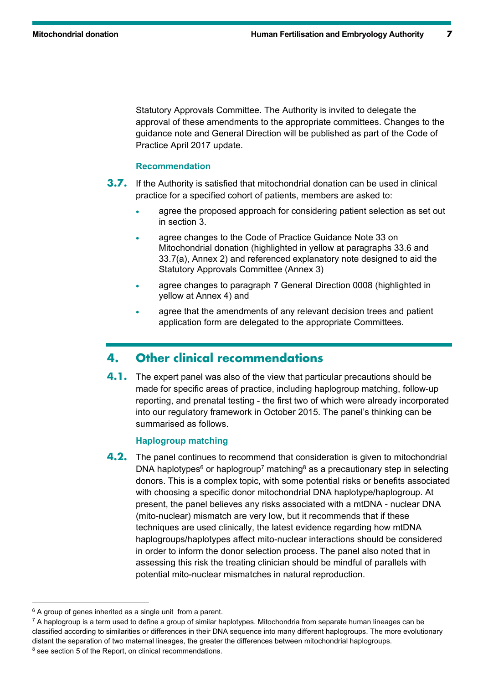Statutory Approvals Committee. The Authority is invited to delegate the approval of these amendments to the appropriate committees. Changes to the guidance note and General Direction will be published as part of the Code of Practice April 2017 update.

#### **Recommendation**

- **3.7.** If the Authority is satisfied that mitochondrial donation can be used in clinical practice for a specified cohort of patients, members are asked to:
	- agree the proposed approach for considering patient selection as set out in section 3.
	- agree changes to the Code of Practice Guidance Note 33 on Mitochondrial donation (highlighted in yellow at paragraphs 33.6 and 33.7(a), Annex 2) and referenced explanatory note designed to aid the Statutory Approvals Committee (Annex 3)
	- agree changes to paragraph 7 General Direction 0008 (highlighted in yellow at Annex 4) and
	- agree that the amendments of any relevant decision trees and patient application form are delegated to the appropriate Committees.

## **4. Other clinical recommendations**

**4.1.** The expert panel was also of the view that particular precautions should be made for specific areas of practice, including haplogroup matching, follow-up reporting, and prenatal testing - the first two of which were already incorporated into our regulatory framework in October 2015. The panel's thinking can be summarised as follows.

#### **Haplogroup matching**

**4.2.** The panel continues to recommend that consideration is given to mitochondrial DNA haplotypes<sup>6</sup> or haplogroup<sup>7</sup> matching<sup>8</sup> as a precautionary step in selecting donors. This is a complex topic, with some potential risks or benefits associated with choosing a specific donor mitochondrial DNA haplotype/haplogroup. At present, the panel believes any risks associated with a mtDNA - nuclear DNA (mito-nuclear) mismatch are very low, but it recommends that if these techniques are used clinically, the latest evidence regarding how mtDNA haplogroups/haplotypes affect mito-nuclear interactions should be considered in order to inform the donor selection process. The panel also noted that in assessing this risk the treating clinician should be mindful of parallels with potential mito-nuclear mismatches in natural reproduction.

 $^6$  A group of genes inherited as a single unit from a parent.<br><sup>7</sup> A haplogroup is a term used to define a group of similar haplotypes. Mitochondria from separate human lineages can be classified according to similarities or differences in their DNA sequence into many different haplogroups. The more evolutionary distant the separation of two maternal lineages, the greater the differences between mitochondrial haplogroups. 8 see section 5 of the Report, on clinical recommendations.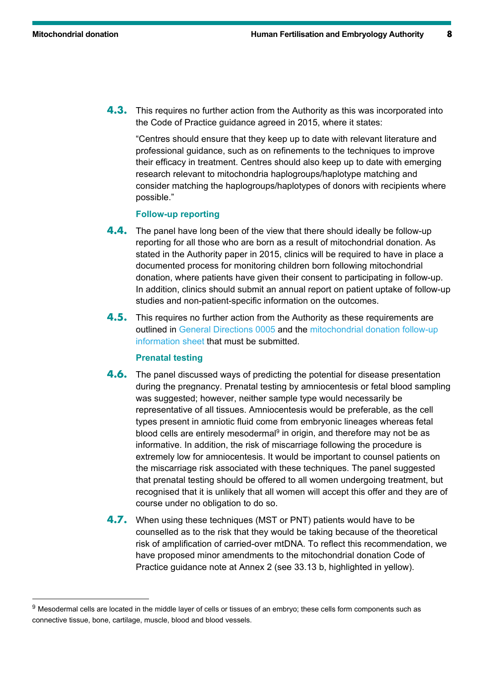**4.3.** This requires no further action from the Authority as this was incorporated into the Code of Practice guidance agreed in 2015, where it states:

"Centres should ensure that they keep up to date with relevant literature and professional guidance, such as on refinements to the techniques to improve their efficacy in treatment. Centres should also keep up to date with emerging research relevant to mitochondria haplogroups/haplotype matching and consider matching the haplogroups/haplotypes of donors with recipients where possible."

#### **Follow-up reporting**

- **4.4.** The panel have long been of the view that there should ideally be follow-up reporting for all those who are born as a result of mitochondrial donation. As stated in the Authority paper in 2015, clinics will be required to have in place a documented process for monitoring children born following mitochondrial donation, where patients have given their consent to participating in follow-up. In addition, clinics should submit an annual report on patient uptake of follow-up studies and non-patient-specific information on the outcomes.
- **4.5.** This requires no further action from the Authority as these requirements are outlined in General Directions 0005 and the mitochondrial donation follow-up information sheet that must be submitted.

#### **Prenatal testing**

- **4.6.** The panel discussed ways of predicting the potential for disease presentation during the pregnancy. Prenatal testing by amniocentesis or fetal blood sampling was suggested; however, neither sample type would necessarily be representative of all tissues. Amniocentesis would be preferable, as the cell types present in amniotic fluid come from embryonic lineages whereas fetal blood cells are entirely mesodermal<sup>9</sup> in origin, and therefore may not be as informative. In addition, the risk of miscarriage following the procedure is extremely low for amniocentesis. It would be important to counsel patients on the miscarriage risk associated with these techniques. The panel suggested that prenatal testing should be offered to all women undergoing treatment, but recognised that it is unlikely that all women will accept this offer and they are of course under no obligation to do so.
- **4.7.** When using these techniques (MST or PNT) patients would have to be counselled as to the risk that they would be taking because of the theoretical risk of amplification of carried-over mtDNA. To reflect this recommendation, we have proposed minor amendments to the mitochondrial donation Code of Practice guidance note at Annex 2 (see 33.13 b, highlighted in yellow).

 $9$  Mesodermal cells are located in the middle layer of cells or tissues of an embryo; these cells form components such as connective tissue, bone, cartilage, muscle, blood and blood vessels.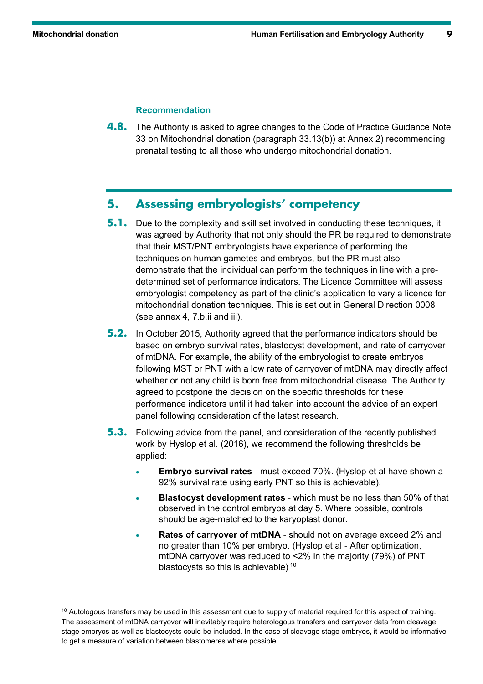#### **Recommendation**

**4.8.** The Authority is asked to agree changes to the Code of Practice Guidance Note 33 on Mitochondrial donation (paragraph 33.13(b)) at Annex 2) recommending prenatal testing to all those who undergo mitochondrial donation.

## **5. Assessing embryologists' competency**

- **5.1.** Due to the complexity and skill set involved in conducting these techniques, it was agreed by Authority that not only should the PR be required to demonstrate that their MST/PNT embryologists have experience of performing the techniques on human gametes and embryos, but the PR must also demonstrate that the individual can perform the techniques in line with a predetermined set of performance indicators. The Licence Committee will assess embryologist competency as part of the clinic's application to vary a licence for mitochondrial donation techniques. This is set out in General Direction 0008 (see annex 4, 7.b.ii and iii).
- **5.2.** In October 2015, Authority agreed that the performance indicators should be based on embryo survival rates, blastocyst development, and rate of carryover of mtDNA. For example, the ability of the embryologist to create embryos following MST or PNT with a low rate of carryover of mtDNA may directly affect whether or not any child is born free from mitochondrial disease. The Authority agreed to postpone the decision on the specific thresholds for these performance indicators until it had taken into account the advice of an expert panel following consideration of the latest research.
- **5.3.** Following advice from the panel, and consideration of the recently published work by Hyslop et al. (2016), we recommend the following thresholds be applied:
	- **Embryo survival rates** must exceed 70%. (Hyslop et al have shown a 92% survival rate using early PNT so this is achievable).
	- **Blastocyst development rates** which must be no less than 50% of that observed in the control embryos at day 5. Where possible, controls should be age-matched to the karyoplast donor.
	- **Rates of carryover of mtDNA** should not on average exceed 2% and no greater than 10% per embryo. (Hyslop et al - After optimization, mtDNA carryover was reduced to <2% in the majority (79%) of PNT blastocysts so this is achievable) 10

 $10$  Autologous transfers may be used in this assessment due to supply of material required for this aspect of training. The assessment of mtDNA carryover will inevitably require heterologous transfers and carryover data from cleavage stage embryos as well as blastocysts could be included. In the case of cleavage stage embryos, it would be informative to get a measure of variation between blastomeres where possible.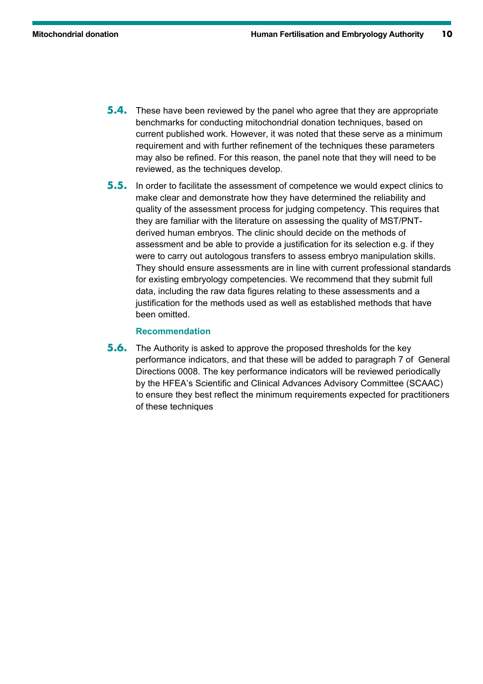- **5.4.** These have been reviewed by the panel who agree that they are appropriate benchmarks for conducting mitochondrial donation techniques, based on current published work. However, it was noted that these serve as a minimum requirement and with further refinement of the techniques these parameters may also be refined. For this reason, the panel note that they will need to be reviewed, as the techniques develop.
- **5.5.** In order to facilitate the assessment of competence we would expect clinics to make clear and demonstrate how they have determined the reliability and quality of the assessment process for judging competency. This requires that they are familiar with the literature on assessing the quality of MST/PNTderived human embryos. The clinic should decide on the methods of assessment and be able to provide a justification for its selection e.g. if they were to carry out autologous transfers to assess embryo manipulation skills. They should ensure assessments are in line with current professional standards for existing embryology competencies. We recommend that they submit full data, including the raw data figures relating to these assessments and a justification for the methods used as well as established methods that have been omitted.

#### **Recommendation**

**5.6.** The Authority is asked to approve the proposed thresholds for the key performance indicators, and that these will be added to paragraph 7 of General Directions 0008. The key performance indicators will be reviewed periodically by the HFEA's Scientific and Clinical Advances Advisory Committee (SCAAC) to ensure they best reflect the minimum requirements expected for practitioners of these techniques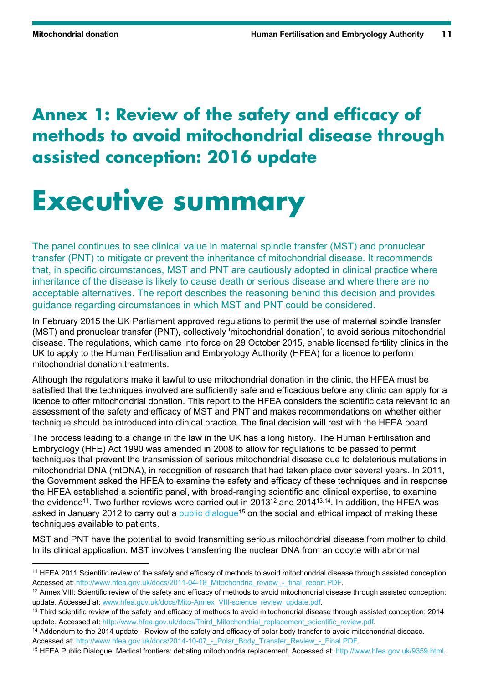# **Annex 1: Review of the safety and efficacy of methods to avoid mitochondrial disease through assisted conception: 2016 update**

# **Executive summary**

The panel continues to see clinical value in maternal spindle transfer (MST) and pronuclear transfer (PNT) to mitigate or prevent the inheritance of mitochondrial disease. It recommends that, in specific circumstances, MST and PNT are cautiously adopted in clinical practice where inheritance of the disease is likely to cause death or serious disease and where there are no acceptable alternatives. The report describes the reasoning behind this decision and provides guidance regarding circumstances in which MST and PNT could be considered.

In February 2015 the UK Parliament approved regulations to permit the use of maternal spindle transfer (MST) and pronuclear transfer (PNT), collectively 'mitochondrial donation', to avoid serious mitochondrial disease. The regulations, which came into force on 29 October 2015, enable licensed fertility clinics in the UK to apply to the Human Fertilisation and Embryology Authority (HFEA) for a licence to perform mitochondrial donation treatments.

Although the regulations make it lawful to use mitochondrial donation in the clinic, the HFEA must be satisfied that the techniques involved are sufficiently safe and efficacious before any clinic can apply for a licence to offer mitochondrial donation. This report to the HFEA considers the scientific data relevant to an assessment of the safety and efficacy of MST and PNT and makes recommendations on whether either technique should be introduced into clinical practice. The final decision will rest with the HFEA board.

The process leading to a change in the law in the UK has a long history. The Human Fertilisation and Embryology (HFE) Act 1990 was amended in 2008 to allow for regulations to be passed to permit techniques that prevent the transmission of serious mitochondrial disease due to deleterious mutations in mitochondrial DNA (mtDNA), in recognition of research that had taken place over several years. In 2011, the Government asked the HFEA to examine the safety and efficacy of these techniques and in response the HFEA established a scientific panel, with broad-ranging scientific and clinical expertise, to examine the evidence<sup>11</sup>. Two further reviews were carried out in 2013<sup>12</sup> and 2014<sup>13,14</sup>. In addition, the HFEA was asked in January 2012 to carry out a public dialogue<sup>15</sup> on the social and ethical impact of making these techniques available to patients.

MST and PNT have the potential to avoid transmitting serious mitochondrial disease from mother to child. In its clinical application, MST involves transferring the nuclear DNA from an oocyte with abnormal

<sup>&</sup>lt;sup>11</sup> HFEA 2011 Scientific review of the safety and efficacy of methods to avoid mitochondrial disease through assisted conception. Accessed at: http://www.hfea.gov.uk/docs/2011-04-18\_Mitochondria\_review\_-\_final\_report.PDF.

 $12$  Annex VIII: Scientific review of the safety and efficacy of methods to avoid mitochondrial disease through assisted conception: update. Accessed at: www.hfea.gov.uk/docs/Mito-Annex\_VIII-science\_review\_update.pdf.

<sup>&</sup>lt;sup>13</sup> Third scientific review of the safety and efficacy of methods to avoid mitochondrial disease through assisted conception: 2014 update. Accessed at: http://www.hfea.gov.uk/docs/Third\_Mitochondrial\_replacement\_scientific\_review.pdf.

<sup>&</sup>lt;sup>14</sup> Addendum to the 2014 update - Review of the safety and efficacy of polar body transfer to avoid mitochondrial disease. Accessed at: http://www.hfea.gov.uk/docs/2014-10-07 - Polar\_Body\_Transfer\_Review\_-\_Final.PDF.

<sup>15</sup> HFEA Public Dialogue: Medical frontiers: debating mitochondria replacement. Accessed at: http://www.hfea.gov.uk/9359.html.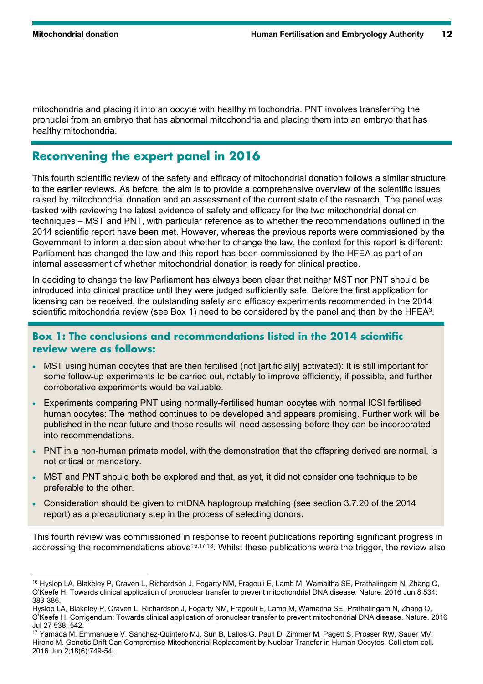mitochondria and placing it into an oocyte with healthy mitochondria. PNT involves transferring the pronuclei from an embryo that has abnormal mitochondria and placing them into an embryo that has healthy mitochondria.

# **Reconvening the expert panel in 2016**

This fourth scientific review of the safety and efficacy of mitochondrial donation follows a similar structure to the earlier reviews. As before, the aim is to provide a comprehensive overview of the scientific issues raised by mitochondrial donation and an assessment of the current state of the research. The panel was tasked with reviewing the latest evidence of safety and efficacy for the two mitochondrial donation techniques – MST and PNT, with particular reference as to whether the recommendations outlined in the 2014 scientific report have been met. However, whereas the previous reports were commissioned by the Government to inform a decision about whether to change the law, the context for this report is different: Parliament has changed the law and this report has been commissioned by the HFEA as part of an internal assessment of whether mitochondrial donation is ready for clinical practice.

In deciding to change the law Parliament has always been clear that neither MST nor PNT should be introduced into clinical practice until they were judged sufficiently safe. Before the first application for licensing can be received, the outstanding safety and efficacy experiments recommended in the 2014 scientific mitochondria review (see Box 1) need to be considered by the panel and then by the HFEA<sup>3</sup>.

### **Box 1: The conclusions and recommendations listed in the 2014 scientific review were as follows:**

- MST using human oocytes that are then fertilised (not [artificially] activated): It is still important for some follow-up experiments to be carried out, notably to improve efficiency, if possible, and further corroborative experiments would be valuable.
- Experiments comparing PNT using normally-fertilised human oocytes with normal ICSI fertilised human oocytes: The method continues to be developed and appears promising. Further work will be published in the near future and those results will need assessing before they can be incorporated into recommendations.
- PNT in a non-human primate model, with the demonstration that the offspring derived are normal, is not critical or mandatory.
- MST and PNT should both be explored and that, as yet, it did not consider one technique to be preferable to the other.
- Consideration should be given to mtDNA haplogroup matching (see section 3.7.20 of the 2014 report) as a precautionary step in the process of selecting donors.

This fourth review was commissioned in response to recent publications reporting significant progress in addressing the recommendations above<sup>16,17,18</sup>. Whilst these publications were the trigger, the review also

<sup>&</sup>lt;sup>16</sup> Hyslop LA, Blakeley P, Craven L, Richardson J, Fogarty NM, Fragouli E, Lamb M, Wamaitha SE, Prathalingam N, Zhang Q, O'Keefe H. Towards clinical application of pronuclear transfer to prevent mitochondrial DNA disease. Nature. 2016 Jun 8 534: 383-386.

Hyslop LA, Blakeley P, Craven L, Richardson J, Fogarty NM, Fragouli E, Lamb M, Wamaitha SE, Prathalingam N, Zhang Q, O'Keefe H. Corrigendum: Towards clinical application of pronuclear transfer to prevent mitochondrial DNA disease. Nature. 2016 Jul 27 538, 542.

<sup>17</sup> Yamada M, Emmanuele V, Sanchez-Quintero MJ, Sun B, Lallos G, Paull D, Zimmer M, Pagett S, Prosser RW, Sauer MV, Hirano M. Genetic Drift Can Compromise Mitochondrial Replacement by Nuclear Transfer in Human Oocytes. Cell stem cell. 2016 Jun 2;18(6):749-54.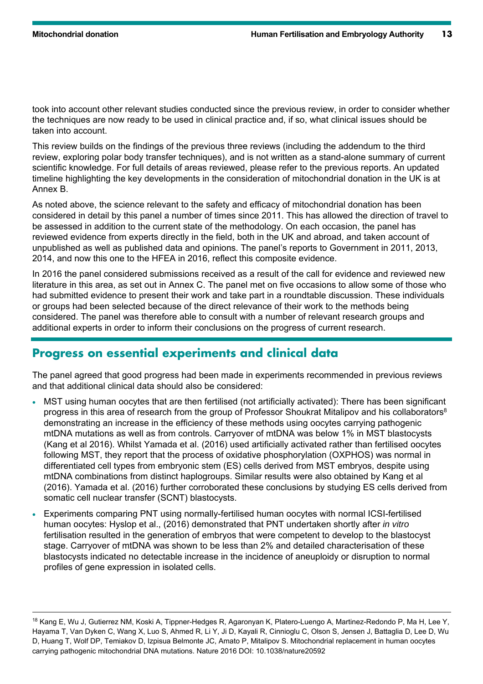took into account other relevant studies conducted since the previous review, in order to consider whether the techniques are now ready to be used in clinical practice and, if so, what clinical issues should be taken into account.

This review builds on the findings of the previous three reviews (including the addendum to the third review, exploring polar body transfer techniques), and is not written as a stand-alone summary of current scientific knowledge. For full details of areas reviewed, please refer to the previous reports. An updated timeline highlighting the key developments in the consideration of mitochondrial donation in the UK is at Annex B.

As noted above, the science relevant to the safety and efficacy of mitochondrial donation has been considered in detail by this panel a number of times since 2011. This has allowed the direction of travel to be assessed in addition to the current state of the methodology. On each occasion, the panel has reviewed evidence from experts directly in the field, both in the UK and abroad, and taken account of unpublished as well as published data and opinions. The panel's reports to Government in 2011, 2013, 2014, and now this one to the HFEA in 2016, reflect this composite evidence.

In 2016 the panel considered submissions received as a result of the call for evidence and reviewed new literature in this area, as set out in Annex C. The panel met on five occasions to allow some of those who had submitted evidence to present their work and take part in a roundtable discussion. These individuals or groups had been selected because of the direct relevance of their work to the methods being considered. The panel was therefore able to consult with a number of relevant research groups and additional experts in order to inform their conclusions on the progress of current research.

# **Progress on essential experiments and clinical data**

The panel agreed that good progress had been made in experiments recommended in previous reviews and that additional clinical data should also be considered:

- MST using human oocytes that are then fertilised (not artificially activated): There has been significant progress in this area of research from the group of Professor Shoukrat Mitalipov and his collaborators<sup>8</sup> demonstrating an increase in the efficiency of these methods using oocytes carrying pathogenic mtDNA mutations as well as from controls. Carryover of mtDNA was below 1% in MST blastocysts (Kang et al 2016). Whilst Yamada et al. (2016) used artificially activated rather than fertilised oocytes following MST, they report that the process of oxidative phosphorylation (OXPHOS) was normal in differentiated cell types from embryonic stem (ES) cells derived from MST embryos, despite using mtDNA combinations from distinct haplogroups. Similar results were also obtained by Kang et al (2016). Yamada et al. (2016) further corroborated these conclusions by studying ES cells derived from somatic cell nuclear transfer (SCNT) blastocysts.
- Experiments comparing PNT using normally-fertilised human oocytes with normal ICSI-fertilised human oocytes: Hyslop et al., (2016) demonstrated that PNT undertaken shortly after *in vitro* fertilisation resulted in the generation of embryos that were competent to develop to the blastocyst stage. Carryover of mtDNA was shown to be less than 2% and detailed characterisation of these blastocysts indicated no detectable increase in the incidence of aneuploidy or disruption to normal profiles of gene expression in isolated cells.

<sup>&</sup>lt;sup>18</sup> Kang E, Wu J, Gutierrez NM, Koski A, Tippner-Hedges R, Agaronyan K, Platero-Luengo A, Martinez-Redondo P, Ma H, Lee Y, Hayama T, Van Dyken C, Wang X, Luo S, Ahmed R, Li Y, Ji D, Kayali R, Cinnioglu C, Olson S, Jensen J, Battaglia D, Lee D, Wu D, Huang T, Wolf DP, Temiakov D, Izpisua Belmonte JC, Amato P, Mitalipov S. Mitochondrial replacement in human oocytes carrying pathogenic mitochondrial DNA mutations. Nature 2016 DOI: 10.1038/nature20592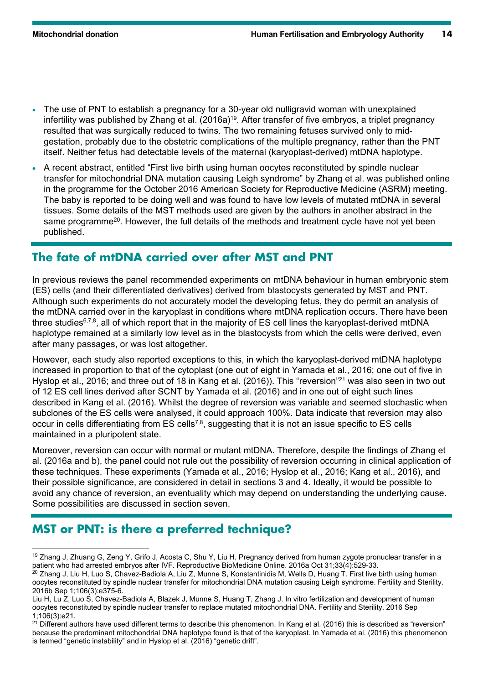- The use of PNT to establish a pregnancy for a 30-year old nulligravid woman with unexplained infertility was published by Zhang et al. (2016a)<sup>19</sup>. After transfer of five embryos, a triplet pregnancy resulted that was surgically reduced to twins. The two remaining fetuses survived only to midgestation, probably due to the obstetric complications of the multiple pregnancy, rather than the PNT itself. Neither fetus had detectable levels of the maternal (karyoplast-derived) mtDNA haplotype.
- A recent abstract, entitled "First live birth using human oocytes reconstituted by spindle nuclear transfer for mitochondrial DNA mutation causing Leigh syndrome" by Zhang et al. was published online in the programme for the October 2016 American Society for Reproductive Medicine (ASRM) meeting. The baby is reported to be doing well and was found to have low levels of mutated mtDNA in several tissues. Some details of the MST methods used are given by the authors in another abstract in the same programme<sup>20</sup>. However, the full details of the methods and treatment cycle have not yet been published.

# **The fate of mtDNA carried over after MST and PNT**

In previous reviews the panel recommended experiments on mtDNA behaviour in human embryonic stem (ES) cells (and their differentiated derivatives) derived from blastocysts generated by MST and PNT. Although such experiments do not accurately model the developing fetus, they do permit an analysis of the mtDNA carried over in the karyoplast in conditions where mtDNA replication occurs. There have been three studies<sup>6,7,8</sup>, all of which report that in the majority of ES cell lines the karyoplast-derived mtDNA haplotype remained at a similarly low level as in the blastocysts from which the cells were derived, even after many passages, or was lost altogether.

However, each study also reported exceptions to this, in which the karyoplast-derived mtDNA haplotype increased in proportion to that of the cytoplast (one out of eight in Yamada et al., 2016; one out of five in Hyslop et al., 2016; and three out of 18 in Kang et al. (2016)). This "reversion"<sup>21</sup> was also seen in two out of 12 ES cell lines derived after SCNT by Yamada et al. (2016) and in one out of eight such lines described in Kang et al. (2016). Whilst the degree of reversion was variable and seemed stochastic when subclones of the ES cells were analysed, it could approach 100%. Data indicate that reversion may also occur in cells differentiating from ES cells<sup>7,8</sup>, suggesting that it is not an issue specific to ES cells maintained in a pluripotent state.

Moreover, reversion can occur with normal or mutant mtDNA. Therefore, despite the findings of Zhang et al. (2016a and b), the panel could not rule out the possibility of reversion occurring in clinical application of these techniques. These experiments (Yamada et al., 2016; Hyslop et al., 2016; Kang et al., 2016), and their possible significance, are considered in detail in sections 3 and 4. Ideally, it would be possible to avoid any chance of reversion, an eventuality which may depend on understanding the underlying cause. Some possibilities are discussed in section seven.

# **MST or PNT: is there a preferred technique?**

<sup>&</sup>lt;sup>19</sup> Zhang J, Zhuang G, Zeng Y, Grifo J, Acosta C, Shu Y, Liu H. Pregnancy derived from human zygote pronuclear transfer in a patient who had arrested embryos after IVF. Reproductive BioMedicine Online. 2016a Oct 31;33(4):529-33.<br><sup>20</sup> Zhang J, Liu H, Luo S, Chavez-Badiola A, Liu Z, Munne S, Konstantinidis M, Wells D, Huang T. First live birth usi

oocytes reconstituted by spindle nuclear transfer for mitochondrial DNA mutation causing Leigh syndrome. Fertility and Sterility. 2016b Sep 1;106(3):e375-6.

Liu H, Lu Z, Luo S, Chavez-Badiola A, Blazek J, Munne S, Huang T, Zhang J. In vitro fertilization and development of human oocytes reconstituted by spindle nuclear transfer to replace mutated mitochondrial DNA. Fertility and Sterility. 2016 Sep 1;106(3):e21.

 $21$  Different authors have used different terms to describe this phenomenon. In Kang et al. (2016) this is described as "reversion" because the predominant mitochondrial DNA haplotype found is that of the karyoplast. In Yamada et al. (2016) this phenomenon is termed "genetic instability" and in Hyslop et al. (2016) "genetic drift".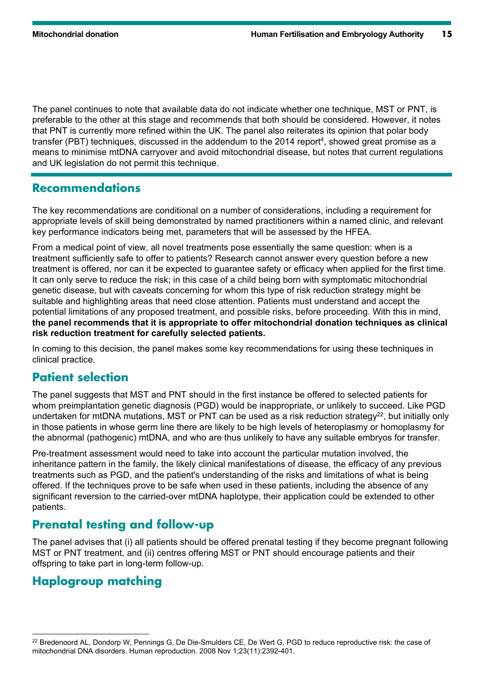The panel continues to note that available data do not indicate whether one technique, MST or PNT, is preferable to the other at this stage and recommends that both should be considered. However, it notes that PNT is currently more refined within the UK. The panel also reiterates its opinion that polar body transfer (PBT) techniques, discussed in the addendum to the 2014 report<sup>4</sup>, showed great promise as a means to minimise mtDNA carryover and avoid mitochondrial disease, but notes that current regulations and UK legislation do not permit this technique.

# **Recommendations**

The key recommendations are conditional on a number of considerations, including a requirement for appropriate levels of skill being demonstrated by named practitioners within a named clinic, and relevant key performance indicators being met, parameters that will be assessed by the HFEA.

From a medical point of view, all novel treatments pose essentially the same question: when is a treatment sufficiently safe to offer to patients? Research cannot answer every question before a new treatment is offered, nor can it be expected to guarantee safety or efficacy when applied for the first time. It can only serve to reduce the risk; in this case of a child being born with symptomatic mitochondrial genetic disease, but with caveats concerning for whom this type of risk reduction strategy might be suitable and highlighting areas that need close attention. Patients must understand and accept the potential limitations of any proposed treatment, and possible risks, before proceeding. With this in mind, **the panel recommends that it is appropriate to offer mitochondrial donation techniques as clinical risk reduction treatment for carefully selected patients.** 

In coming to this decision, the panel makes some key recommendations for using these techniques in clinical practice.

# **Patient selection**

The panel suggests that MST and PNT should in the first instance be offered to selected patients for whom preimplantation genetic diagnosis (PGD) would be inappropriate, or unlikely to succeed. Like PGD undertaken for mtDNA mutations, MST or PNT can be used as a risk reduction strategy $^{22}$ , but initially only in those patients in whose germ line there are likely to be high levels of heteroplasmy or homoplasmy for the abnormal (pathogenic) mtDNA, and who are thus unlikely to have any suitable embryos for transfer.

Pre-treatment assessment would need to take into account the particular mutation involved, the inheritance pattern in the family, the likely clinical manifestations of disease, the efficacy of any previous treatments such as PGD, and the patient's understanding of the risks and limitations of what is being offered. If the techniques prove to be safe when used in these patients, including the absence of any significant reversion to the carried-over mtDNA haplotype, their application could be extended to other patients.

# **Prenatal testing and follow-up**

The panel advises that (i) all patients should be offered prenatal testing if they become pregnant following MST or PNT treatment, and (ii) centres offering MST or PNT should encourage patients and their offspring to take part in long-term follow-up.

# **Haplogroup matching**

<sup>&</sup>lt;sup>22</sup> Bredenoord AL, Dondorp W, Pennings G, De Die-Smulders CE, De Wert G. PGD to reduce reproductive risk: the case of mitochondrial DNA disorders. Human reproduction. 2008 Nov 1;23(11):2392-401.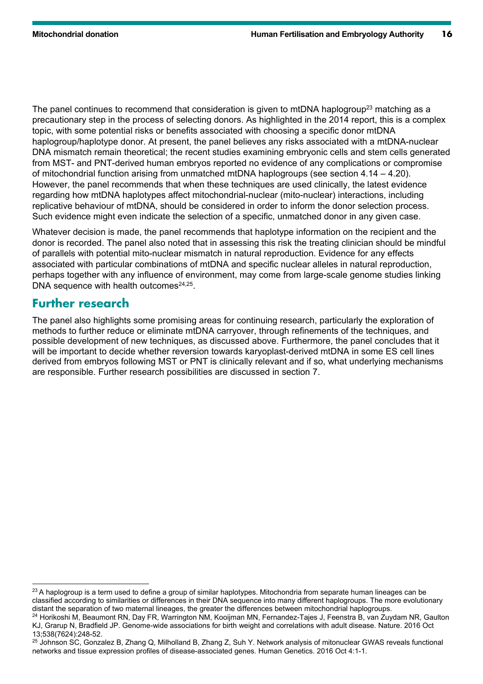The panel continues to recommend that consideration is given to mtDNA haplogroup<sup>23</sup> matching as a precautionary step in the process of selecting donors. As highlighted in the 2014 report, this is a complex topic, with some potential risks or benefits associated with choosing a specific donor mtDNA haplogroup/haplotype donor. At present, the panel believes any risks associated with a mtDNA-nuclear DNA mismatch remain theoretical; the recent studies examining embryonic cells and stem cells generated from MST- and PNT-derived human embryos reported no evidence of any complications or compromise of mitochondrial function arising from unmatched mtDNA haplogroups (see section  $4.14 - 4.20$ ). However, the panel recommends that when these techniques are used clinically, the latest evidence regarding how mtDNA haplotypes affect mitochondrial-nuclear (mito-nuclear) interactions, including replicative behaviour of mtDNA, should be considered in order to inform the donor selection process. Such evidence might even indicate the selection of a specific, unmatched donor in any given case.

Whatever decision is made, the panel recommends that haplotype information on the recipient and the donor is recorded. The panel also noted that in assessing this risk the treating clinician should be mindful of parallels with potential mito-nuclear mismatch in natural reproduction. Evidence for any effects associated with particular combinations of mtDNA and specific nuclear alleles in natural reproduction, perhaps together with any influence of environment, may come from large-scale genome studies linking DNA sequence with health outcomes $24,25$ .

# **Further research**

The panel also highlights some promising areas for continuing research, particularly the exploration of methods to further reduce or eliminate mtDNA carryover, through refinements of the techniques, and possible development of new techniques, as discussed above. Furthermore, the panel concludes that it will be important to decide whether reversion towards karyoplast-derived mtDNA in some ES cell lines derived from embryos following MST or PNT is clinically relevant and if so, what underlying mechanisms are responsible. Further research possibilities are discussed in section 7.

<sup>&</sup>lt;sup>23</sup> A haplogroup is a term used to define a group of similar haplotypes. Mitochondria from separate human lineages can be classified according to similarities or differences in their DNA sequence into many different haplogroups. The more evolutionary<br>distant the separation of two maternal lineages, the greater the differences between mitochon

<sup>&</sup>lt;sup>24</sup> Horikoshi M, Beaumont RN, Day FR, Warrington NM, Kooijman MN, Fernandez-Tajes J, Feenstra B, van Zuydam NR, Gaulton KJ, Grarup N, Bradfield JP. Genome-wide associations for birth weight and correlations with adult disease. Nature. 2016 Oct 13;538(7624):248-52.

<sup>&</sup>lt;sup>25</sup> Johnson SC, Gonzalez B, Zhang Q, Milholland B, Zhang Z, Suh Y. Network analysis of mitonuclear GWAS reveals functional networks and tissue expression profiles of disease-associated genes. Human Genetics. 2016 Oct 4:1-1.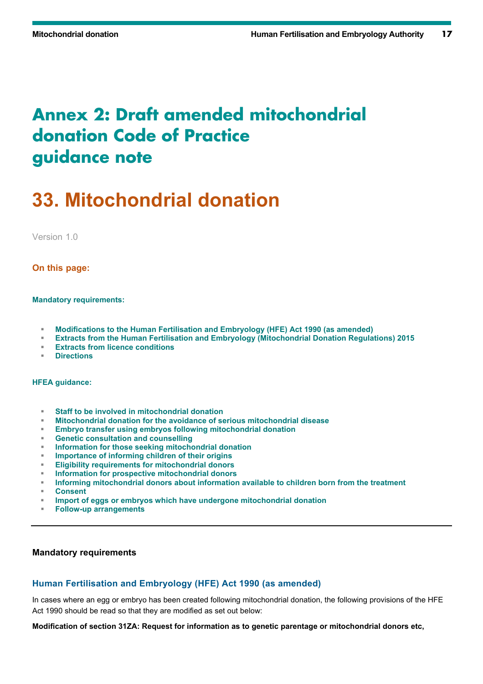# **Annex 2: Draft amended mitochondrial donation Code of Practice guidance note**

# **33. Mitochondrial donation**

Version 1.0

**On this page:** 

**Mandatory requirements:** 

- **Modifications to the Human Fertilisation and Embryology (HFE) Act 1990 (as amended)**
- **Extracts from the Human Fertilisation and Embryology (Mitochondrial Donation Regulations) 2015**
- **Extracts from licence conditions**
- **Directions**

**HFEA guidance:** 

- **Staff to be involved in mitochondrial donation**
- **Mitochondrial donation for the avoidance of serious mitochondrial disease**
- **Embryo transfer using embryos following mitochondrial donation**
- **Genetic consultation and counselling**
- **Information for those seeking mitochondrial donation**
- **Importance of informing children of their origins**
- **Eligibility requirements for mitochondrial donors**
- **Information for prospective mitochondrial donors**
- **Informing mitochondrial donors about information available to children born from the treatment**
- **Consent**
- **Import of eggs or embryos which have undergone mitochondrial donation**
- **Follow-up arrangements**

#### **Mandatory requirements**

## **Human Fertilisation and Embryology (HFE) Act 1990 (as amended)**

In cases where an egg or embryo has been created following mitochondrial donation, the following provisions of the HFE Act 1990 should be read so that they are modified as set out below:

**Modification of section 31ZA: Request for information as to genetic parentage or mitochondrial donors etc,**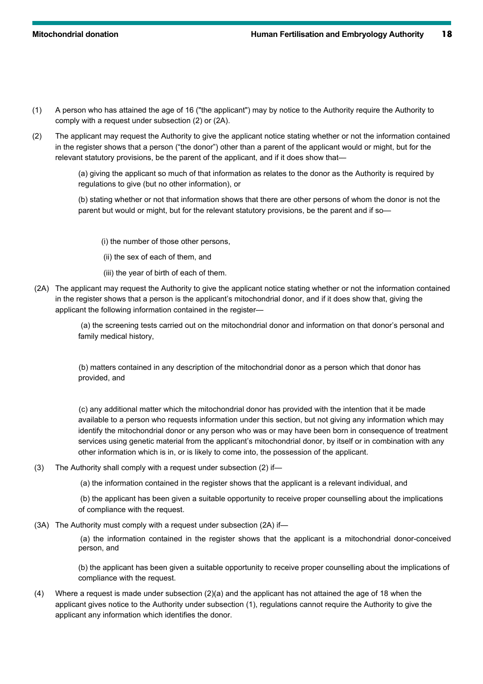- (1) A person who has attained the age of 16 ("the applicant") may by notice to the Authority require the Authority to comply with a request under subsection (2) or (2A).
- (2) The applicant may request the Authority to give the applicant notice stating whether or not the information contained in the register shows that a person ("the donor") other than a parent of the applicant would or might, but for the relevant statutory provisions, be the parent of the applicant, and if it does show that—

(a) giving the applicant so much of that information as relates to the donor as the Authority is required by regulations to give (but no other information), or

(b) stating whether or not that information shows that there are other persons of whom the donor is not the parent but would or might, but for the relevant statutory provisions, be the parent and if so-

(i) the number of those other persons,

(ii) the sex of each of them, and

- (iii) the year of birth of each of them.
- (2A) The applicant may request the Authority to give the applicant notice stating whether or not the information contained in the register shows that a person is the applicant's mitochondrial donor, and if it does show that, giving the applicant the following information contained in the register—

 (a) the screening tests carried out on the mitochondrial donor and information on that donor's personal and family medical history,

(b) matters contained in any description of the mitochondrial donor as a person which that donor has provided, and

(c) any additional matter which the mitochondrial donor has provided with the intention that it be made available to a person who requests information under this section, but not giving any information which may identify the mitochondrial donor or any person who was or may have been born in consequence of treatment services using genetic material from the applicant's mitochondrial donor, by itself or in combination with any other information which is in, or is likely to come into, the possession of the applicant.

(3) The Authority shall comply with a request under subsection (2) if—

(a) the information contained in the register shows that the applicant is a relevant individual, and

 (b) the applicant has been given a suitable opportunity to receive proper counselling about the implications of compliance with the request.

(3A) The Authority must comply with a request under subsection (2A) if—

 (a) the information contained in the register shows that the applicant is a mitochondrial donor-conceived person, and

(b) the applicant has been given a suitable opportunity to receive proper counselling about the implications of compliance with the request.

 (4) Where a request is made under subsection (2)(a) and the applicant has not attained the age of 18 when the applicant gives notice to the Authority under subsection (1), regulations cannot require the Authority to give the applicant any information which identifies the donor.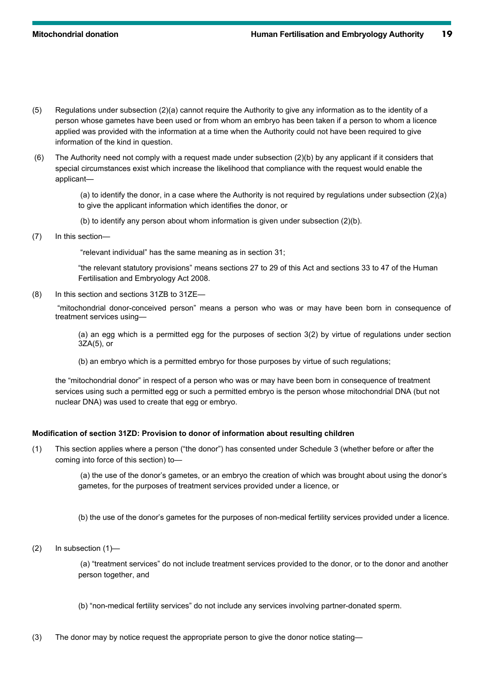- (5) Regulations under subsection (2)(a) cannot require the Authority to give any information as to the identity of a person whose gametes have been used or from whom an embryo has been taken if a person to whom a licence applied was provided with the information at a time when the Authority could not have been required to give information of the kind in question.
- (6) The Authority need not comply with a request made under subsection (2)(b) by any applicant if it considers that special circumstances exist which increase the likelihood that compliance with the request would enable the applicant—

 (a) to identify the donor, in a case where the Authority is not required by regulations under subsection (2)(a) to give the applicant information which identifies the donor, or

(b) to identify any person about whom information is given under subsection (2)(b).

(7) In this section—

"relevant individual" has the same meaning as in section 31;

"the relevant statutory provisions" means sections 27 to 29 of this Act and sections 33 to 47 of the Human Fertilisation and Embryology Act 2008.

(8) In this section and sections 31ZB to 31ZE—

 "mitochondrial donor-conceived person" means a person who was or may have been born in consequence of treatment services using—

(a) an egg which is a permitted egg for the purposes of section 3(2) by virtue of regulations under section 3ZA(5), or

(b) an embryo which is a permitted embryo for those purposes by virtue of such regulations;

the "mitochondrial donor" in respect of a person who was or may have been born in consequence of treatment services using such a permitted egg or such a permitted embryo is the person whose mitochondrial DNA (but not nuclear DNA) was used to create that egg or embryo.

#### **Modification of section 31ZD: Provision to donor of information about resulting children**

(1) This section applies where a person ("the donor") has consented under Schedule 3 (whether before or after the coming into force of this section) to—

> (a) the use of the donor's gametes, or an embryo the creation of which was brought about using the donor's gametes, for the purposes of treatment services provided under a licence, or

> (b) the use of the donor's gametes for the purposes of non-medical fertility services provided under a licence.

(2) In subsection (1)—

 (a) "treatment services" do not include treatment services provided to the donor, or to the donor and another person together, and

(b) "non-medical fertility services" do not include any services involving partner-donated sperm.

(3) The donor may by notice request the appropriate person to give the donor notice stating—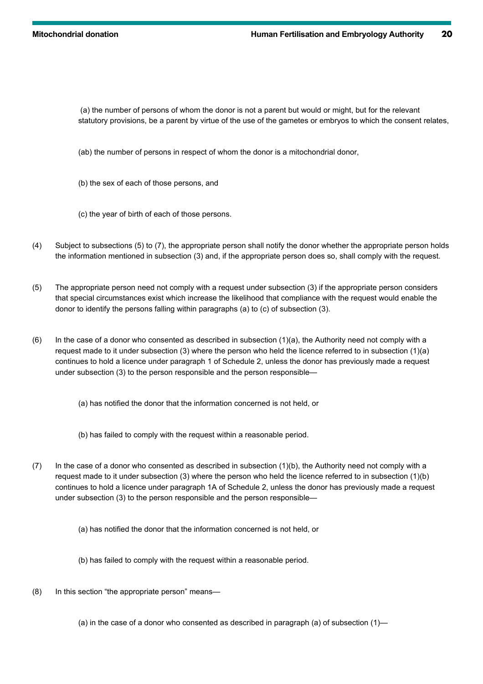(a) the number of persons of whom the donor is not a parent but would or might, but for the relevant statutory provisions, be a parent by virtue of the use of the gametes or embryos to which the consent relates,

(ab) the number of persons in respect of whom the donor is a mitochondrial donor,

- (b) the sex of each of those persons, and
- (c) the year of birth of each of those persons.
- (4) Subject to subsections (5) to (7), the appropriate person shall notify the donor whether the appropriate person holds the information mentioned in subsection (3) and, if the appropriate person does so, shall comply with the request.
- (5) The appropriate person need not comply with a request under subsection (3) if the appropriate person considers that special circumstances exist which increase the likelihood that compliance with the request would enable the donor to identify the persons falling within paragraphs (a) to (c) of subsection (3).
- (6) In the case of a donor who consented as described in subsection (1)(a), the Authority need not comply with a request made to it under subsection (3) where the person who held the licence referred to in subsection (1)(a) continues to hold a licence under paragraph 1 of Schedule 2, unless the donor has previously made a request under subsection (3) to the person responsible and the person responsible—
	- (a) has notified the donor that the information concerned is not held, or
	- (b) has failed to comply with the request within a reasonable period.
- (7) In the case of a donor who consented as described in subsection (1)(b), the Authority need not comply with a request made to it under subsection (3) where the person who held the licence referred to in subsection (1)(b) continues to hold a licence under paragraph 1A of Schedule 2, unless the donor has previously made a request under subsection (3) to the person responsible and the person responsible—
	- (a) has notified the donor that the information concerned is not held, or
	- (b) has failed to comply with the request within a reasonable period.
- (8) In this section "the appropriate person" means—
	- (a) in the case of a donor who consented as described in paragraph (a) of subsection (1)—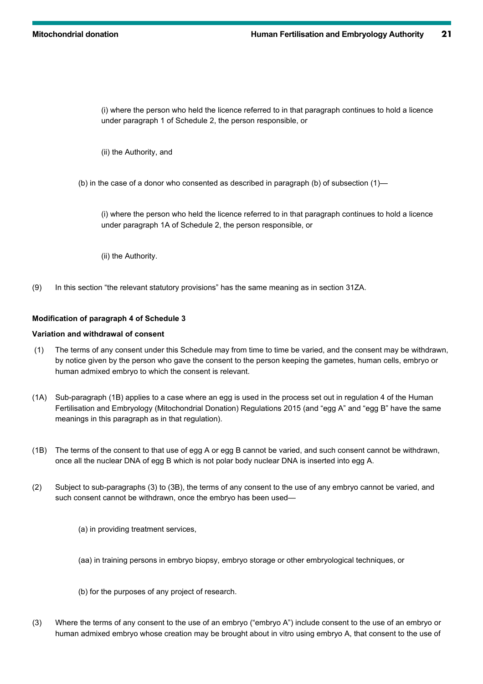(i) where the person who held the licence referred to in that paragraph continues to hold a licence under paragraph 1 of Schedule 2, the person responsible, or

(ii) the Authority, and

(b) in the case of a donor who consented as described in paragraph (b) of subsection (1)—

(i) where the person who held the licence referred to in that paragraph continues to hold a licence under paragraph 1A of Schedule 2, the person responsible, or

(ii) the Authority.

(9) In this section "the relevant statutory provisions" has the same meaning as in section 31ZA.

#### **Modification of paragraph 4 of Schedule 3**

#### **Variation and withdrawal of consent**

- (1) The terms of any consent under this Schedule may from time to time be varied, and the consent may be withdrawn, by notice given by the person who gave the consent to the person keeping the gametes, human cells, embryo or human admixed embryo to which the consent is relevant.
- (1A) Sub-paragraph (1B) applies to a case where an egg is used in the process set out in regulation 4 of the Human Fertilisation and Embryology (Mitochondrial Donation) Regulations 2015 (and "egg A" and "egg B" have the same meanings in this paragraph as in that regulation).
- (1B) The terms of the consent to that use of egg A or egg B cannot be varied, and such consent cannot be withdrawn, once all the nuclear DNA of egg B which is not polar body nuclear DNA is inserted into egg A.
- (2) Subject to sub-paragraphs (3) to (3B), the terms of any consent to the use of any embryo cannot be varied, and such consent cannot be withdrawn, once the embryo has been used—

(a) in providing treatment services,

(aa) in training persons in embryo biopsy, embryo storage or other embryological techniques, or

(b) for the purposes of any project of research.

(3) Where the terms of any consent to the use of an embryo ("embryo A") include consent to the use of an embryo or human admixed embryo whose creation may be brought about in vitro using embryo A, that consent to the use of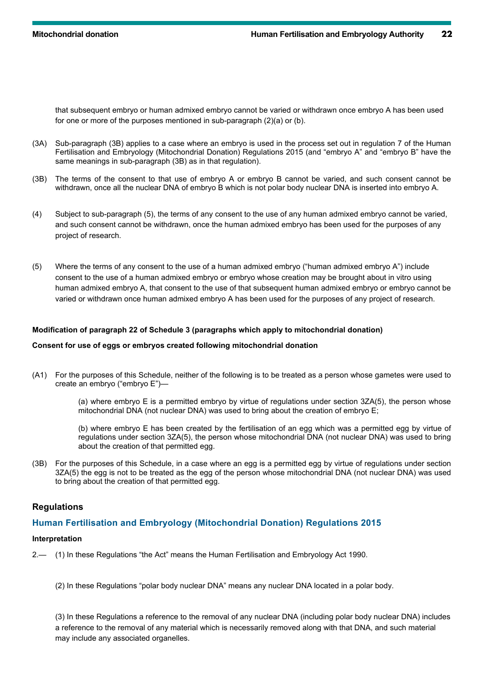that subsequent embryo or human admixed embryo cannot be varied or withdrawn once embryo A has been used for one or more of the purposes mentioned in sub-paragraph (2)(a) or (b).

- (3A) Sub-paragraph (3B) applies to a case where an embryo is used in the process set out in regulation 7 of the Human Fertilisation and Embryology (Mitochondrial Donation) Regulations 2015 (and "embryo A" and "embryo B" have the same meanings in sub-paragraph (3B) as in that regulation).
- (3B) The terms of the consent to that use of embryo A or embryo B cannot be varied, and such consent cannot be withdrawn, once all the nuclear DNA of embryo B which is not polar body nuclear DNA is inserted into embryo A.
- (4) Subject to sub-paragraph (5), the terms of any consent to the use of any human admixed embryo cannot be varied, and such consent cannot be withdrawn, once the human admixed embryo has been used for the purposes of any project of research.
- (5) Where the terms of any consent to the use of a human admixed embryo ("human admixed embryo A") include consent to the use of a human admixed embryo or embryo whose creation may be brought about in vitro using human admixed embryo A, that consent to the use of that subsequent human admixed embryo or embryo cannot be varied or withdrawn once human admixed embryo A has been used for the purposes of any project of research.

#### **Modification of paragraph 22 of Schedule 3 (paragraphs which apply to mitochondrial donation)**

#### **Consent for use of eggs or embryos created following mitochondrial donation**

(A1) For the purposes of this Schedule, neither of the following is to be treated as a person whose gametes were used to create an embryo ("embryo E")—

> (a) where embryo E is a permitted embryo by virtue of regulations under section 3ZA(5), the person whose mitochondrial DNA (not nuclear DNA) was used to bring about the creation of embryo E;

> (b) where embryo E has been created by the fertilisation of an egg which was a permitted egg by virtue of regulations under section 3ZA(5), the person whose mitochondrial DNA (not nuclear DNA) was used to bring about the creation of that permitted egg.

(3B) For the purposes of this Schedule, in a case where an egg is a permitted egg by virtue of regulations under section 3ZA(5) the egg is not to be treated as the egg of the person whose mitochondrial DNA (not nuclear DNA) was used to bring about the creation of that permitted egg.

#### **Regulations**

#### **Human Fertilisation and Embryology (Mitochondrial Donation) Regulations 2015**

#### **Interpretation**

2.— (1) In these Regulations "the Act" means the Human Fertilisation and Embryology Act 1990.

(2) In these Regulations "polar body nuclear DNA" means any nuclear DNA located in a polar body.

(3) In these Regulations a reference to the removal of any nuclear DNA (including polar body nuclear DNA) includes a reference to the removal of any material which is necessarily removed along with that DNA, and such material may include any associated organelles.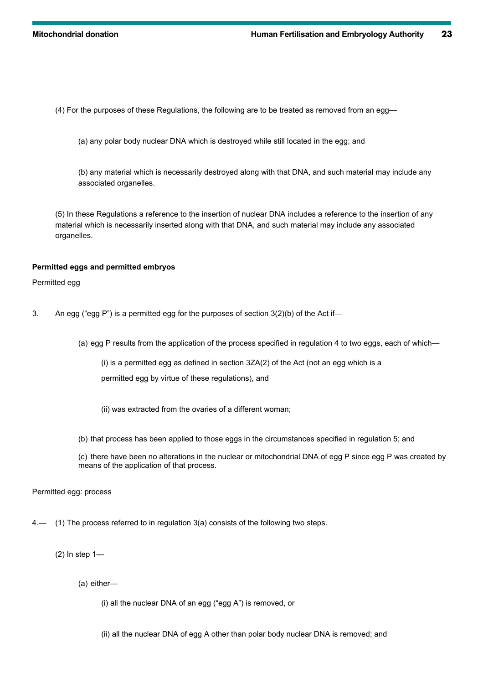(4) For the purposes of these Regulations, the following are to be treated as removed from an egg—

(a) any polar body nuclear DNA which is destroyed while still located in the egg; and

(b) any material which is necessarily destroyed along with that DNA, and such material may include any associated organelles.

(5) In these Regulations a reference to the insertion of nuclear DNA includes a reference to the insertion of any material which is necessarily inserted along with that DNA, and such material may include any associated organelles.

#### **Permitted eggs and permitted embryos**

Permitted egg

3. An egg ("egg P") is a permitted egg for the purposes of section 3(2)(b) of the Act if—

(a) egg P results from the application of the process specified in regulation 4 to two eggs, each of which—

(i) is a permitted egg as defined in section 3ZA(2) of the Act (not an egg which is a

permitted egg by virtue of these regulations), and

(ii) was extracted from the ovaries of a different woman;

(b) that process has been applied to those eggs in the circumstances specified in regulation 5; and

(c) there have been no alterations in the nuclear or mitochondrial DNA of egg P since egg P was created by means of the application of that process.

#### Permitted egg: process

- 4.— (1) The process referred to in regulation 3(a) consists of the following two steps.
	- (2) In step 1—
		- (a) either—

(i) all the nuclear DNA of an egg ("egg A") is removed, or

(ii) all the nuclear DNA of egg A other than polar body nuclear DNA is removed; and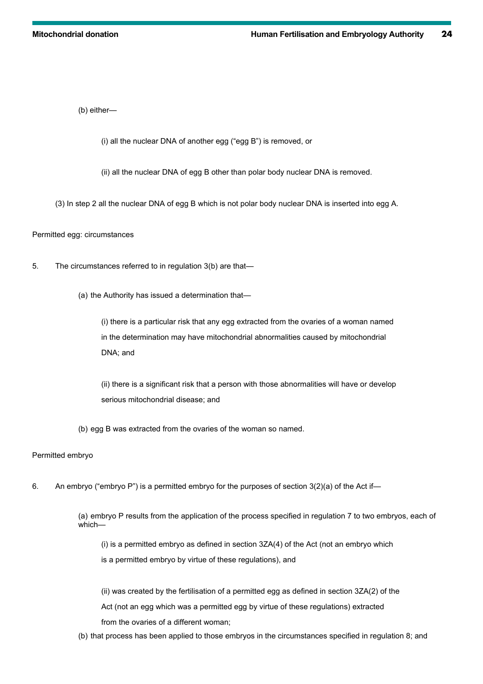(b) either—

- (i) all the nuclear DNA of another egg ("egg B") is removed, or
- (ii) all the nuclear DNA of egg B other than polar body nuclear DNA is removed.
- (3) In step 2 all the nuclear DNA of egg B which is not polar body nuclear DNA is inserted into egg A.

Permitted egg: circumstances

- 5. The circumstances referred to in regulation 3(b) are that—
	- (a) the Authority has issued a determination that—

(i) there is a particular risk that any egg extracted from the ovaries of a woman named in the determination may have mitochondrial abnormalities caused by mitochondrial DNA; and

(ii) there is a significant risk that a person with those abnormalities will have or develop serious mitochondrial disease; and

(b) egg B was extracted from the ovaries of the woman so named.

#### Permitted embryo

6. An embryo ("embryo P") is a permitted embryo for the purposes of section 3(2)(a) of the Act if—

(a) embryo P results from the application of the process specified in regulation 7 to two embryos, each of which—

(i) is a permitted embryo as defined in section 3ZA(4) of the Act (not an embryo which

is a permitted embryo by virtue of these regulations), and

(ii) was created by the fertilisation of a permitted egg as defined in section 3ZA(2) of the

Act (not an egg which was a permitted egg by virtue of these regulations) extracted

from the ovaries of a different woman;

(b) that process has been applied to those embryos in the circumstances specified in regulation 8; and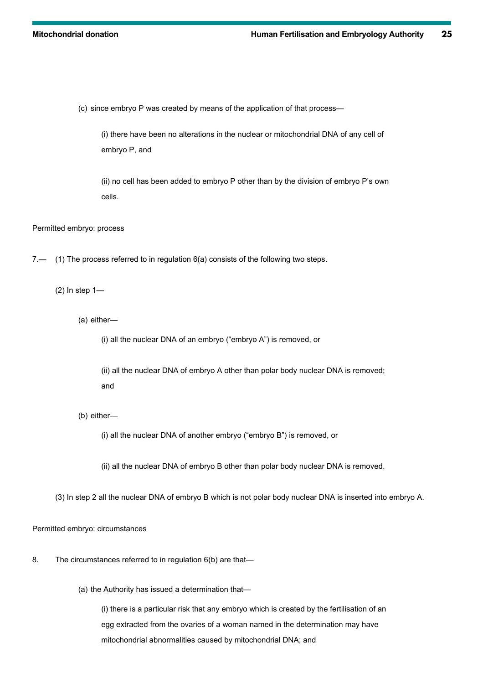(c) since embryo P was created by means of the application of that process—

(i) there have been no alterations in the nuclear or mitochondrial DNA of any cell of embryo P, and

(ii) no cell has been added to embryo P other than by the division of embryo P's own cells.

Permitted embryo: process

7.— (1) The process referred to in regulation 6(a) consists of the following two steps.

(2) In step 1—

(a) either—

(i) all the nuclear DNA of an embryo ("embryo A") is removed, or

(ii) all the nuclear DNA of embryo A other than polar body nuclear DNA is removed; and

#### (b) either—

(i) all the nuclear DNA of another embryo ("embryo B") is removed, or

(ii) all the nuclear DNA of embryo B other than polar body nuclear DNA is removed.

(3) In step 2 all the nuclear DNA of embryo B which is not polar body nuclear DNA is inserted into embryo A.

#### Permitted embryo: circumstances

- 8. The circumstances referred to in regulation 6(b) are that-
	- (a) the Authority has issued a determination that—

(i) there is a particular risk that any embryo which is created by the fertilisation of an egg extracted from the ovaries of a woman named in the determination may have mitochondrial abnormalities caused by mitochondrial DNA; and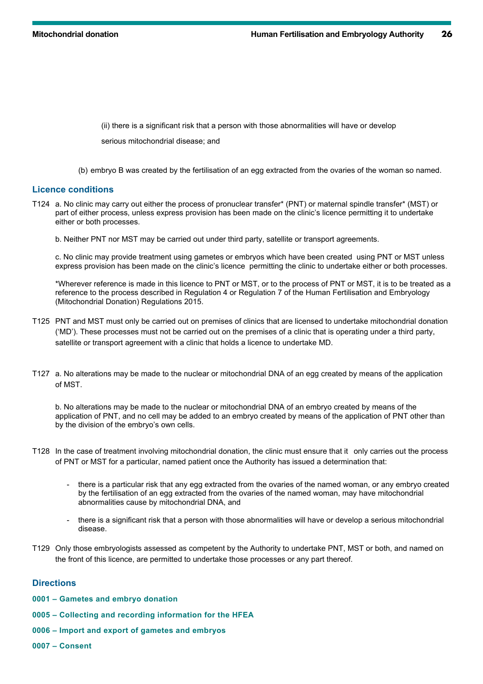(ii) there is a significant risk that a person with those abnormalities will have or develop

serious mitochondrial disease; and

(b) embryo B was created by the fertilisation of an egg extracted from the ovaries of the woman so named.

#### **Licence conditions**

- T124 a. No clinic may carry out either the process of pronuclear transfer\* (PNT) or maternal spindle transfer\* (MST) or part of either process, unless express provision has been made on the clinic's licence permitting it to undertake either or both processes.
	- b. Neither PNT nor MST may be carried out under third party, satellite or transport agreements.

c. No clinic may provide treatment using gametes or embryos which have been created using PNT or MST unless express provision has been made on the clinic's licence permitting the clinic to undertake either or both processes.

\*Wherever reference is made in this licence to PNT or MST, or to the process of PNT or MST, it is to be treated as a reference to the process described in Regulation 4 or Regulation 7 of the Human Fertilisation and Embryology (Mitochondrial Donation) Regulations 2015.

- T125 PNT and MST must only be carried out on premises of clinics that are licensed to undertake mitochondrial donation ('MD'). These processes must not be carried out on the premises of a clinic that is operating under a third party, satellite or transport agreement with a clinic that holds a licence to undertake MD.
- T127 a. No alterations may be made to the nuclear or mitochondrial DNA of an egg created by means of the application of MST.

b. No alterations may be made to the nuclear or mitochondrial DNA of an embryo created by means of the application of PNT, and no cell may be added to an embryo created by means of the application of PNT other than by the division of the embryo's own cells.

- T128 In the case of treatment involving mitochondrial donation, the clinic must ensure that it only carries out the process of PNT or MST for a particular, named patient once the Authority has issued a determination that:
	- there is a particular risk that any egg extracted from the ovaries of the named woman, or any embryo created by the fertilisation of an egg extracted from the ovaries of the named woman, may have mitochondrial abnormalities cause by mitochondrial DNA, and
	- there is a significant risk that a person with those abnormalities will have or develop a serious mitochondrial disease.
- T129 Only those embryologists assessed as competent by the Authority to undertake PNT, MST or both, and named on the front of this licence, are permitted to undertake those processes or any part thereof.

#### **Directions**

- **0001 Gametes and embryo donation**
- **0005 Collecting and recording information for the HFEA**
- **0006 Import and export of gametes and embryos**
- **0007 Consent**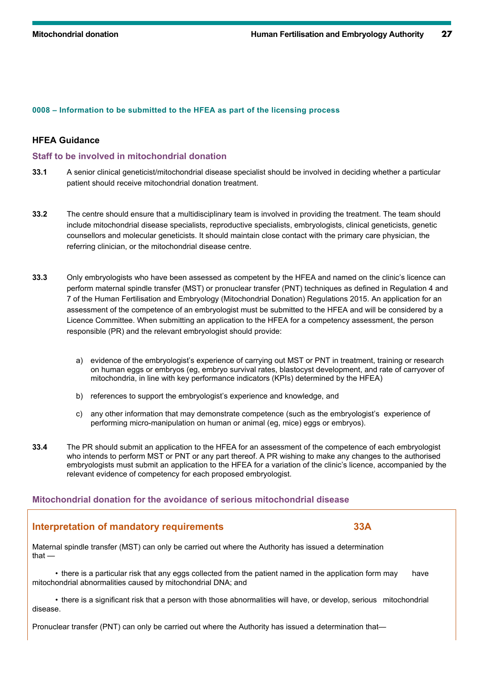#### **0008 – Information to be submitted to the HFEA as part of the licensing process**

#### **HFEA Guidance**

#### **Staff to be involved in mitochondrial donation**

- **33.1** A senior clinical geneticist/mitochondrial disease specialist should be involved in deciding whether a particular patient should receive mitochondrial donation treatment.
- **33.2** The centre should ensure that a multidisciplinary team is involved in providing the treatment. The team should include mitochondrial disease specialists, reproductive specialists, embryologists, clinical geneticists, genetic counsellors and molecular geneticists. It should maintain close contact with the primary care physician, the referring clinician, or the mitochondrial disease centre.
- **33.3** Only embryologists who have been assessed as competent by the HFEA and named on the clinic's licence can perform maternal spindle transfer (MST) or pronuclear transfer (PNT) techniques as defined in Regulation 4 and 7 of the Human Fertilisation and Embryology (Mitochondrial Donation) Regulations 2015. An application for an assessment of the competence of an embryologist must be submitted to the HFEA and will be considered by a Licence Committee. When submitting an application to the HFEA for a competency assessment, the person responsible (PR) and the relevant embryologist should provide:
	- a) evidence of the embryologist's experience of carrying out MST or PNT in treatment, training or research on human eggs or embryos (eg, embryo survival rates, blastocyst development, and rate of carryover of mitochondria, in line with key performance indicators (KPIs) determined by the HFEA)
	- b) references to support the embryologist's experience and knowledge, and
	- c) any other information that may demonstrate competence (such as the embryologist's experience of performing micro-manipulation on human or animal (eg, mice) eggs or embryos).
- **33.4** The PR should submit an application to the HFEA for an assessment of the competence of each embryologist who intends to perform MST or PNT or any part thereof. A PR wishing to make any changes to the authorised embryologists must submit an application to the HFEA for a variation of the clinic's licence, accompanied by the relevant evidence of competency for each proposed embryologist.

#### **Mitochondrial donation for the avoidance of serious mitochondrial disease**

#### **Interpretation of mandatory requirements 33A**

Maternal spindle transfer (MST) can only be carried out where the Authority has issued a determination that —

• there is a particular risk that any eggs collected from the patient named in the application form may have mitochondrial abnormalities caused by mitochondrial DNA; and

• there is a significant risk that a person with those abnormalities will have, or develop, serious mitochondrial disease.

Pronuclear transfer (PNT) can only be carried out where the Authority has issued a determination that—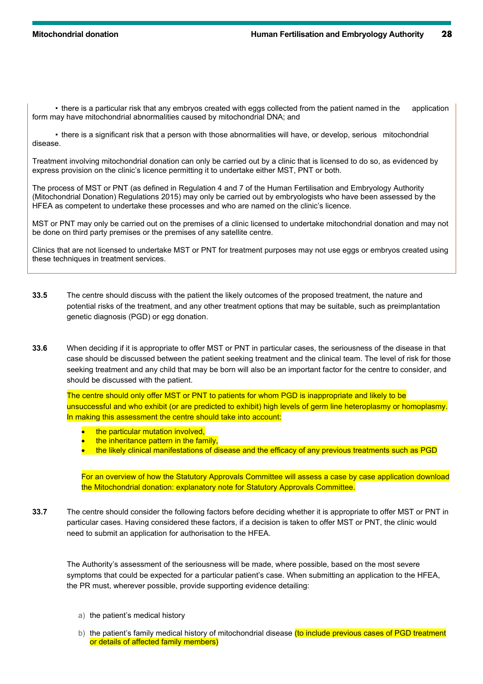• there is a particular risk that any embryos created with eggs collected from the patient named in the application form may have mitochondrial abnormalities caused by mitochondrial DNA; and

• there is a significant risk that a person with those abnormalities will have, or develop, serious mitochondrial disease.

Treatment involving mitochondrial donation can only be carried out by a clinic that is licensed to do so, as evidenced by express provision on the clinic's licence permitting it to undertake either MST, PNT or both.

The process of MST or PNT (as defined in Regulation 4 and 7 of the Human Fertilisation and Embryology Authority (Mitochondrial Donation) Regulations 2015) may only be carried out by embryologists who have been assessed by the HFEA as competent to undertake these processes and who are named on the clinic's licence.

MST or PNT may only be carried out on the premises of a clinic licensed to undertake mitochondrial donation and may not be done on third party premises or the premises of any satellite centre.

Clinics that are not licensed to undertake MST or PNT for treatment purposes may not use eggs or embryos created using these techniques in treatment services.

- **33.5** The centre should discuss with the patient the likely outcomes of the proposed treatment, the nature and potential risks of the treatment, and any other treatment options that may be suitable, such as preimplantation genetic diagnosis (PGD) or egg donation.
- **33.6** When deciding if it is appropriate to offer MST or PNT in particular cases, the seriousness of the disease in that case should be discussed between the patient seeking treatment and the clinical team. The level of risk for those seeking treatment and any child that may be born will also be an important factor for the centre to consider, and should be discussed with the patient.

The centre should only offer MST or PNT to patients for whom PGD is inappropriate and likely to be unsuccessful and who exhibit (or are predicted to exhibit) high levels of germ line heteroplasmy or homoplasmy. In making this assessment the centre should take into account:

- the particular mutation involved,
- the inheritance pattern in the family,
- the likely clinical manifestations of disease and the efficacy of any previous treatments such as PGD

For an overview of how the Statutory Approvals Committee will assess a case by case application download the Mitochondrial donation: explanatory note for Statutory Approvals Committee.

**33.7** The centre should consider the following factors before deciding whether it is appropriate to offer MST or PNT in particular cases. Having considered these factors, if a decision is taken to offer MST or PNT, the clinic would need to submit an application for authorisation to the HFEA.

The Authority's assessment of the seriousness will be made, where possible, based on the most severe symptoms that could be expected for a particular patient's case. When submitting an application to the HFEA, the PR must, wherever possible, provide supporting evidence detailing:

- a) the patient's medical history
- b) the patient's family medical history of mitochondrial disease (to include previous cases of PGD treatment or details of affected family members)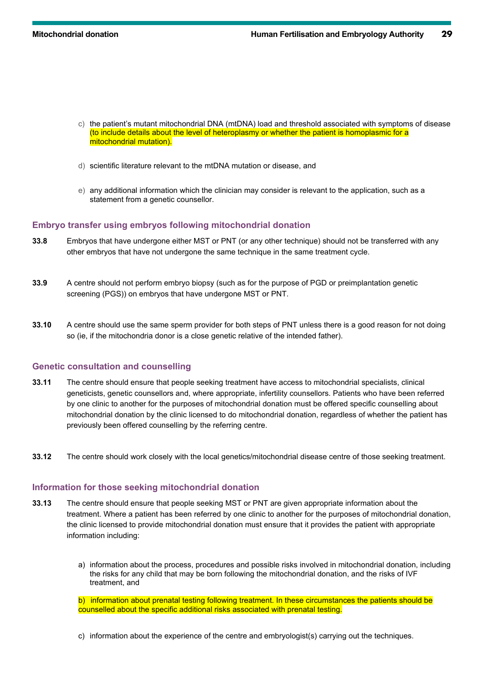- c) the patient's mutant mitochondrial DNA (mtDNA) load and threshold associated with symptoms of disease (to include details about the level of heteroplasmy or whether the patient is homoplasmic for a mitochondrial mutation).
- d) scientific literature relevant to the mtDNA mutation or disease, and
- e) any additional information which the clinician may consider is relevant to the application, such as a statement from a genetic counsellor.

#### **Embryo transfer using embryos following mitochondrial donation**

- **33.8** Embryos that have undergone either MST or PNT (or any other technique) should not be transferred with any other embryos that have not undergone the same technique in the same treatment cycle.
- **33.9** A centre should not perform embryo biopsy (such as for the purpose of PGD or preimplantation genetic screening (PGS)) on embryos that have undergone MST or PNT.
- **33.10** A centre should use the same sperm provider for both steps of PNT unless there is a good reason for not doing so (ie, if the mitochondria donor is a close genetic relative of the intended father).

#### **Genetic consultation and counselling**

- **33.11** The centre should ensure that people seeking treatment have access to mitochondrial specialists, clinical geneticists, genetic counsellors and, where appropriate, infertility counsellors. Patients who have been referred by one clinic to another for the purposes of mitochondrial donation must be offered specific counselling about mitochondrial donation by the clinic licensed to do mitochondrial donation, regardless of whether the patient has previously been offered counselling by the referring centre.
- **33.12** The centre should work closely with the local genetics/mitochondrial disease centre of those seeking treatment.

#### **Information for those seeking mitochondrial donation**

- **33.13** The centre should ensure that people seeking MST or PNT are given appropriate information about the treatment. Where a patient has been referred by one clinic to another for the purposes of mitochondrial donation, the clinic licensed to provide mitochondrial donation must ensure that it provides the patient with appropriate information including:
	- a) information about the process, procedures and possible risks involved in mitochondrial donation, including the risks for any child that may be born following the mitochondrial donation, and the risks of IVF treatment, and

b) information about prenatal testing following treatment. In these circumstances the patients should be counselled about the specific additional risks associated with prenatal testing.

c) information about the experience of the centre and embryologist(s) carrying out the techniques.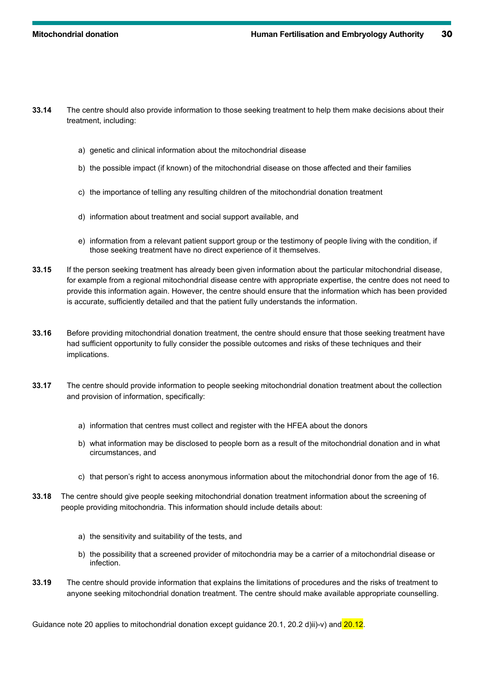- **33.14** The centre should also provide information to those seeking treatment to help them make decisions about their treatment, including:
	- a) genetic and clinical information about the mitochondrial disease
	- b) the possible impact (if known) of the mitochondrial disease on those affected and their families
	- c) the importance of telling any resulting children of the mitochondrial donation treatment
	- d) information about treatment and social support available, and
	- e) information from a relevant patient support group or the testimony of people living with the condition, if those seeking treatment have no direct experience of it themselves.
- **33.15** If the person seeking treatment has already been given information about the particular mitochondrial disease, for example from a regional mitochondrial disease centre with appropriate expertise, the centre does not need to provide this information again. However, the centre should ensure that the information which has been provided is accurate, sufficiently detailed and that the patient fully understands the information.
- **33.16** Before providing mitochondrial donation treatment, the centre should ensure that those seeking treatment have had sufficient opportunity to fully consider the possible outcomes and risks of these techniques and their implications.
- **33.17** The centre should provide information to people seeking mitochondrial donation treatment about the collection and provision of information, specifically:
	- a) information that centres must collect and register with the HFEA about the donors
	- b) what information may be disclosed to people born as a result of the mitochondrial donation and in what circumstances, and
	- c) that person's right to access anonymous information about the mitochondrial donor from the age of 16.
- **33.18** The centre should give people seeking mitochondrial donation treatment information about the screening of people providing mitochondria. This information should include details about:
	- a) the sensitivity and suitability of the tests, and
	- b) the possibility that a screened provider of mitochondria may be a carrier of a mitochondrial disease or infection.
- **33.19** The centre should provide information that explains the limitations of procedures and the risks of treatment to anyone seeking mitochondrial donation treatment. The centre should make available appropriate counselling.

Guidance note 20 applies to mitochondrial donation except guidance 20.1, 20.2 d)ii)-v) and 20.12.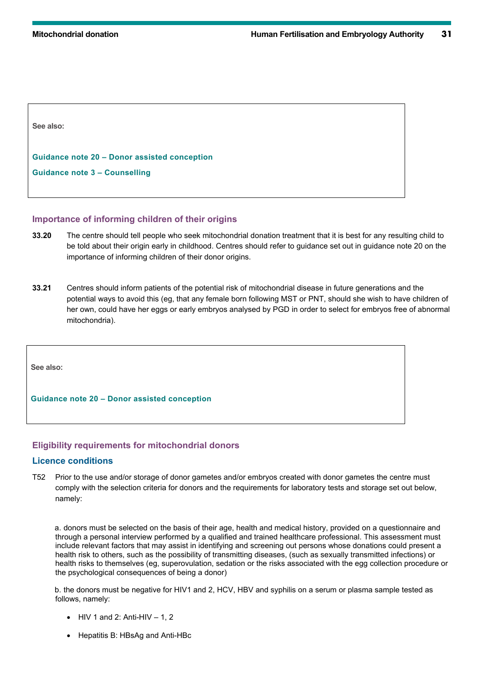| See also:                                    |
|----------------------------------------------|
| Guidance note 20 - Donor assisted conception |
| <b>Guidance note 3 - Counselling</b>         |
|                                              |

#### **Importance of informing children of their origins**

- **33.20** The centre should tell people who seek mitochondrial donation treatment that it is best for any resulting child to be told about their origin early in childhood. Centres should refer to guidance set out in guidance note 20 on the importance of informing children of their donor origins.
- **33.21** Centres should inform patients of the potential risk of mitochondrial disease in future generations and the potential ways to avoid this (eg, that any female born following MST or PNT, should she wish to have children of her own, could have her eggs or early embryos analysed by PGD in order to select for embryos free of abnormal mitochondria).

| See also:                                    |  |
|----------------------------------------------|--|
| Guidance note 20 - Donor assisted conception |  |

#### **Eligibility requirements for mitochondrial donors**

#### **Licence conditions**

T52 Prior to the use and/or storage of donor gametes and/or embryos created with donor gametes the centre must comply with the selection criteria for donors and the requirements for laboratory tests and storage set out below, namely:

a. donors must be selected on the basis of their age, health and medical history, provided on a questionnaire and through a personal interview performed by a qualified and trained healthcare professional. This assessment must include relevant factors that may assist in identifying and screening out persons whose donations could present a health risk to others, such as the possibility of transmitting diseases, (such as sexually transmitted infections) or health risks to themselves (eg, superovulation, sedation or the risks associated with the egg collection procedure or the psychological consequences of being a donor)

b. the donors must be negative for HIV1 and 2, HCV, HBV and syphilis on a serum or plasma sample tested as follows, namely:

- $\bullet$  HIV 1 and 2: Anti-HIV  $-$  1, 2
- Hepatitis B: HBsAg and Anti-HBc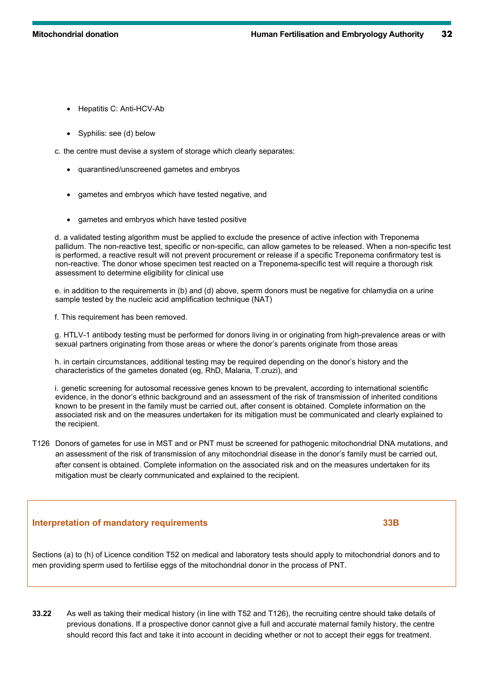- Hepatitis C: Anti-HCV-Ab
- Syphilis: see (d) below
- c. the centre must devise a system of storage which clearly separates:
	- quarantined/unscreened gametes and embryos
	- gametes and embryos which have tested negative, and
	- gametes and embryos which have tested positive

d. a validated testing algorithm must be applied to exclude the presence of active infection with Treponema pallidum. The non-reactive test, specific or non-specific, can allow gametes to be released. When a non-specific test is performed, a reactive result will not prevent procurement or release if a specific Treponema confirmatory test is non-reactive. The donor whose specimen test reacted on a Treponema-specific test will require a thorough risk assessment to determine eligibility for clinical use

e. in addition to the requirements in (b) and (d) above, sperm donors must be negative for chlamydia on a urine sample tested by the nucleic acid amplification technique (NAT)

f. This requirement has been removed.

g. HTLV-1 antibody testing must be performed for donors living in or originating from high-prevalence areas or with sexual partners originating from those areas or where the donor's parents originate from those areas

h. in certain circumstances, additional testing may be required depending on the donor's history and the characteristics of the gametes donated (eg, RhD, Malaria, T.cruzi), and

i. genetic screening for autosomal recessive genes known to be prevalent, according to international scientific evidence, in the donor's ethnic background and an assessment of the risk of transmission of inherited conditions known to be present in the family must be carried out, after consent is obtained. Complete information on the associated risk and on the measures undertaken for its mitigation must be communicated and clearly explained to the recipient.

T126 Donors of gametes for use in MST and or PNT must be screened for pathogenic mitochondrial DNA mutations, and an assessment of the risk of transmission of any mitochondrial disease in the donor's family must be carried out, after consent is obtained. Complete information on the associated risk and on the measures undertaken for its mitigation must be clearly communicated and explained to the recipient.

# **Interpretation of mandatory requirements 33B**

Sections (a) to (h) of Licence condition T52 on medical and laboratory tests should apply to mitochondrial donors and to men providing sperm used to fertilise eggs of the mitochondrial donor in the process of PNT.

**33.22** As well as taking their medical history (in line with T52 and T126), the recruiting centre should take details of previous donations. If a prospective donor cannot give a full and accurate maternal family history, the centre should record this fact and take it into account in deciding whether or not to accept their eggs for treatment.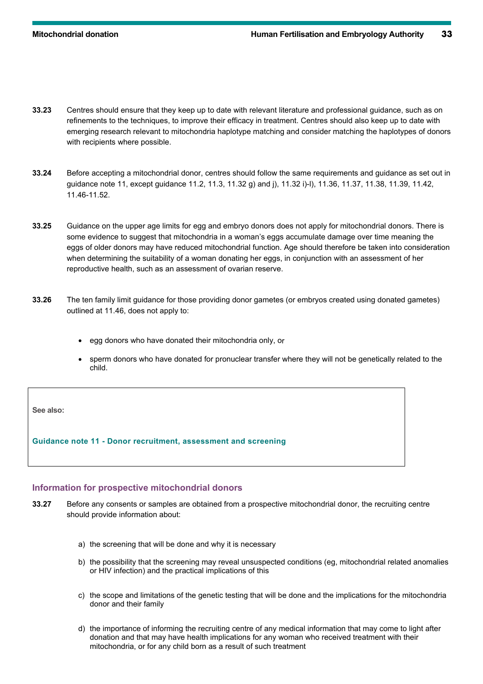- **33.23** Centres should ensure that they keep up to date with relevant literature and professional guidance, such as on refinements to the techniques, to improve their efficacy in treatment. Centres should also keep up to date with emerging research relevant to mitochondria haplotype matching and consider matching the haplotypes of donors with recipients where possible.
- **33.24** Before accepting a mitochondrial donor, centres should follow the same requirements and guidance as set out in guidance note 11, except guidance 11.2, 11.3, 11.32 g) and j), 11.32 i)-l), 11.36, 11.37, 11.38, 11.39, 11.42, 11.46-11.52.
- **33.25** Guidance on the upper age limits for egg and embryo donors does not apply for mitochondrial donors. There is some evidence to suggest that mitochondria in a woman's eggs accumulate damage over time meaning the eggs of older donors may have reduced mitochondrial function. Age should therefore be taken into consideration when determining the suitability of a woman donating her eggs, in conjunction with an assessment of her reproductive health, such as an assessment of ovarian reserve.
- **33.26** The ten family limit guidance for those providing donor gametes (or embryos created using donated gametes) outlined at 11.46, does not apply to:
	- egg donors who have donated their mitochondria only, or
	- sperm donors who have donated for pronuclear transfer where they will not be genetically related to the child.

**See also:** 

**Guidance note 11 - Donor recruitment, assessment and screening** 

#### **Information for prospective mitochondrial donors**

- **33.27** Before any consents or samples are obtained from a prospective mitochondrial donor, the recruiting centre should provide information about:
	- a) the screening that will be done and why it is necessary
	- b) the possibility that the screening may reveal unsuspected conditions (eg, mitochondrial related anomalies or HIV infection) and the practical implications of this
	- c) the scope and limitations of the genetic testing that will be done and the implications for the mitochondria donor and their family
	- d) the importance of informing the recruiting centre of any medical information that may come to light after donation and that may have health implications for any woman who received treatment with their mitochondria, or for any child born as a result of such treatment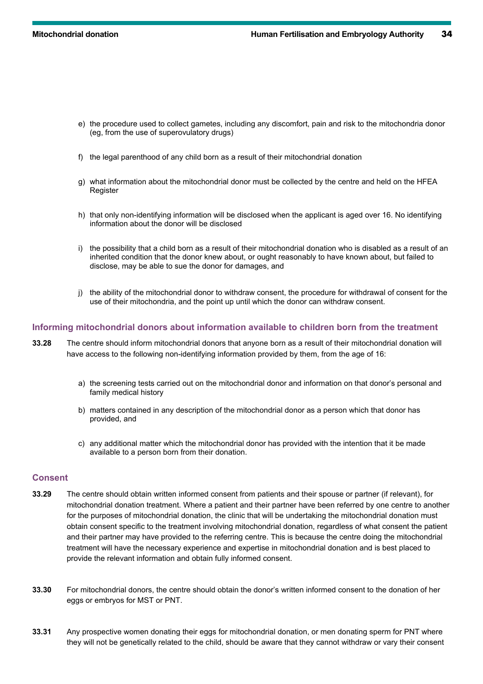- e) the procedure used to collect gametes, including any discomfort, pain and risk to the mitochondria donor (eg, from the use of superovulatory drugs)
- f) the legal parenthood of any child born as a result of their mitochondrial donation
- g) what information about the mitochondrial donor must be collected by the centre and held on the HFEA Register
- h) that only non-identifying information will be disclosed when the applicant is aged over 16. No identifying information about the donor will be disclosed
- i) the possibility that a child born as a result of their mitochondrial donation who is disabled as a result of an inherited condition that the donor knew about, or ought reasonably to have known about, but failed to disclose, may be able to sue the donor for damages, and
- j) the ability of the mitochondrial donor to withdraw consent, the procedure for withdrawal of consent for the use of their mitochondria, and the point up until which the donor can withdraw consent.

#### **Informing mitochondrial donors about information available to children born from the treatment**

- **33.28** The centre should inform mitochondrial donors that anyone born as a result of their mitochondrial donation will have access to the following non-identifying information provided by them, from the age of 16:
	- a) the screening tests carried out on the mitochondrial donor and information on that donor's personal and family medical history
	- b) matters contained in any description of the mitochondrial donor as a person which that donor has provided, and
	- c) any additional matter which the mitochondrial donor has provided with the intention that it be made available to a person born from their donation.

#### **Consent**

- **33.29** The centre should obtain written informed consent from patients and their spouse or partner (if relevant), for mitochondrial donation treatment. Where a patient and their partner have been referred by one centre to another for the purposes of mitochondrial donation, the clinic that will be undertaking the mitochondrial donation must obtain consent specific to the treatment involving mitochondrial donation, regardless of what consent the patient and their partner may have provided to the referring centre. This is because the centre doing the mitochondrial treatment will have the necessary experience and expertise in mitochondrial donation and is best placed to provide the relevant information and obtain fully informed consent.
- **33.30** For mitochondrial donors, the centre should obtain the donor's written informed consent to the donation of her eggs or embryos for MST or PNT.
- **33.31** Any prospective women donating their eggs for mitochondrial donation, or men donating sperm for PNT where they will not be genetically related to the child, should be aware that they cannot withdraw or vary their consent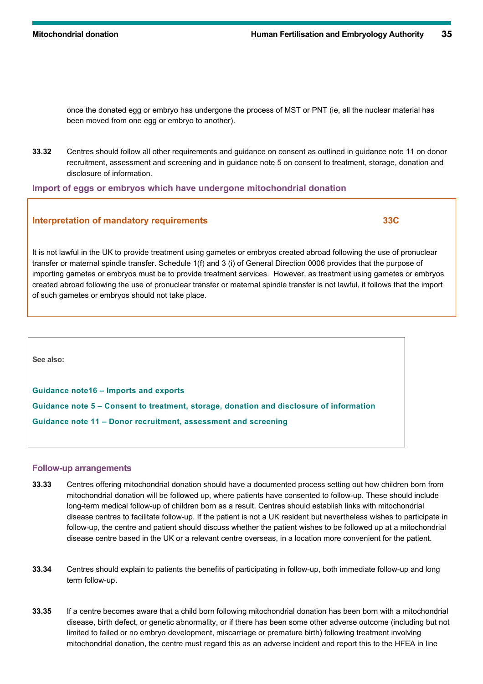once the donated egg or embryo has undergone the process of MST or PNT (ie, all the nuclear material has been moved from one egg or embryo to another).

**33.32** Centres should follow all other requirements and guidance on consent as outlined in guidance note 11 on donor recruitment, assessment and screening and in guidance note 5 on consent to treatment, storage, donation and disclosure of information.

**Import of eggs or embryos which have undergone mitochondrial donation** 

#### **Interpretation of mandatory requirements 33C**

It is not lawful in the UK to provide treatment using gametes or embryos created abroad following the use of pronuclear transfer or maternal spindle transfer. Schedule 1(f) and 3 (i) of General Direction 0006 provides that the purpose of importing gametes or embryos must be to provide treatment services. However, as treatment using gametes or embryos created abroad following the use of pronuclear transfer or maternal spindle transfer is not lawful, it follows that the import of such gametes or embryos should not take place.

**See also:** 

**Guidance note16 – Imports and exports Guidance note 5 – Consent to treatment, storage, donation and disclosure of information Guidance note 11 – Donor recruitment, assessment and screening** 

#### **Follow-up arrangements**

- **33.33** Centres offering mitochondrial donation should have a documented process setting out how children born from mitochondrial donation will be followed up, where patients have consented to follow-up. These should include long-term medical follow-up of children born as a result. Centres should establish links with mitochondrial disease centres to facilitate follow-up. If the patient is not a UK resident but nevertheless wishes to participate in follow-up, the centre and patient should discuss whether the patient wishes to be followed up at a mitochondrial disease centre based in the UK or a relevant centre overseas, in a location more convenient for the patient.
- **33.34** Centres should explain to patients the benefits of participating in follow-up, both immediate follow-up and long term follow-up.
- **33.35** If a centre becomes aware that a child born following mitochondrial donation has been born with a mitochondrial disease, birth defect, or genetic abnormality, or if there has been some other adverse outcome (including but not limited to failed or no embryo development, miscarriage or premature birth) following treatment involving mitochondrial donation, the centre must regard this as an adverse incident and report this to the HFEA in line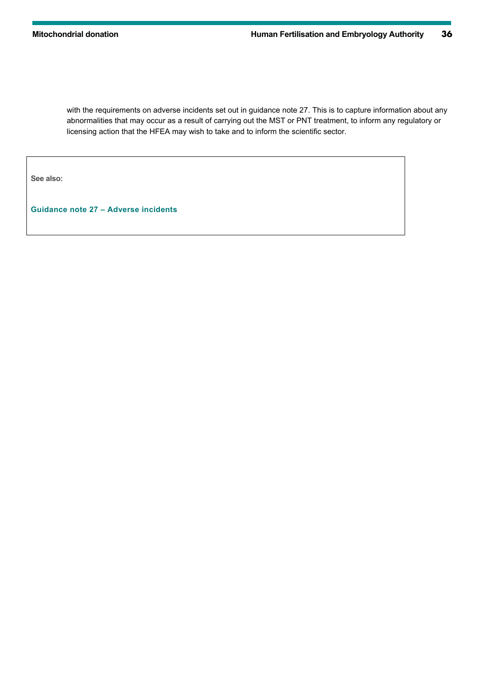with the requirements on adverse incidents set out in guidance note 27. This is to capture information about any abnormalities that may occur as a result of carrying out the MST or PNT treatment, to inform any regulatory or licensing action that the HFEA may wish to take and to inform the scientific sector.

**See also:** 

**Guidance note 27 – Adverse incidents**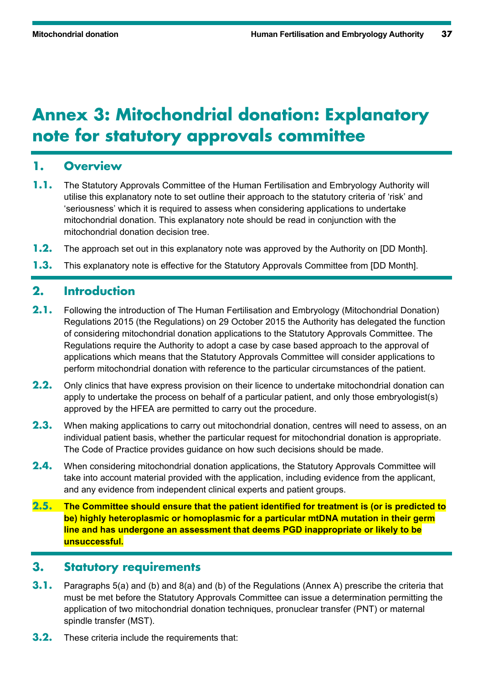# **Annex 3: Mitochondrial donation: Explanatory note for statutory approvals committee**

# **1. Overview**

- **1.1.** The Statutory Approvals Committee of the Human Fertilisation and Embryology Authority will utilise this explanatory note to set outline their approach to the statutory criteria of 'risk' and 'seriousness' which it is required to assess when considering applications to undertake mitochondrial donation. This explanatory note should be read in conjunction with the mitochondrial donation decision tree.
- **1.2.** The approach set out in this explanatory note was approved by the Authority on [DD Month].
- **1.3.** This explanatory note is effective for the Statutory Approvals Committee from [DD Month].

# **2. Introduction**

- **2.1.** Following the introduction of The Human Fertilisation and Embryology (Mitochondrial Donation) Regulations 2015 (the Regulations) on 29 October 2015 the Authority has delegated the function of considering mitochondrial donation applications to the Statutory Approvals Committee. The Regulations require the Authority to adopt a case by case based approach to the approval of applications which means that the Statutory Approvals Committee will consider applications to perform mitochondrial donation with reference to the particular circumstances of the patient.
- 2.2. Only clinics that have express provision on their licence to undertake mitochondrial donation can apply to undertake the process on behalf of a particular patient, and only those embryologist(s) approved by the HFEA are permitted to carry out the procedure.
- **2.3.** When making applications to carry out mitochondrial donation, centres will need to assess, on an individual patient basis, whether the particular request for mitochondrial donation is appropriate. The Code of Practice provides guidance on how such decisions should be made.
- **2.4.** When considering mitochondrial donation applications, the Statutory Approvals Committee will take into account material provided with the application, including evidence from the applicant, and any evidence from independent clinical experts and patient groups.
- **2.5. The Committee should ensure that the patient identified for treatment is (or is predicted to be) highly heteroplasmic or homoplasmic for a particular mtDNA mutation in their germ line and has undergone an assessment that deems PGD inappropriate or likely to be unsuccessful.**

# **3. Statutory requirements**

- **3.1.** Paragraphs 5(a) and (b) and 8(a) and (b) of the Regulations (Annex A) prescribe the criteria that must be met before the Statutory Approvals Committee can issue a determination permitting the application of two mitochondrial donation techniques, pronuclear transfer (PNT) or maternal spindle transfer (MST).
- **3.2.** These criteria include the requirements that: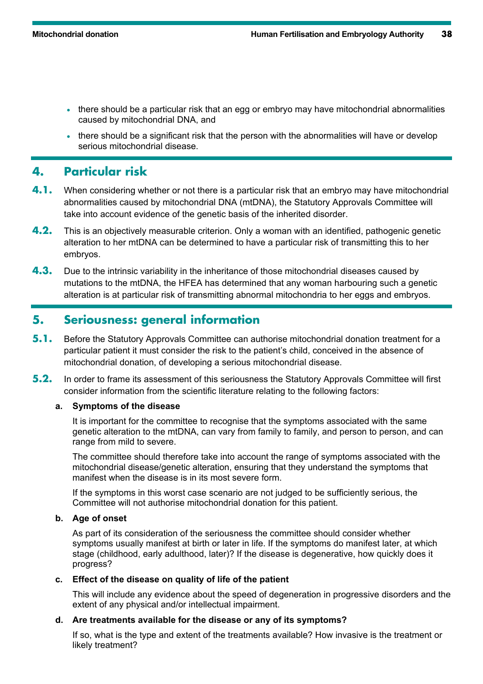- there should be a particular risk that an egg or embryo may have mitochondrial abnormalities caused by mitochondrial DNA, and
- there should be a significant risk that the person with the abnormalities will have or develop serious mitochondrial disease.

# **4. Particular risk**

- **4.1.** When considering whether or not there is a particular risk that an embryo may have mitochondrial abnormalities caused by mitochondrial DNA (mtDNA), the Statutory Approvals Committee will take into account evidence of the genetic basis of the inherited disorder.
- **4.2.** This is an objectively measurable criterion. Only a woman with an identified, pathogenic genetic alteration to her mtDNA can be determined to have a particular risk of transmitting this to her embryos.
- **4.3.** Due to the intrinsic variability in the inheritance of those mitochondrial diseases caused by mutations to the mtDNA, the HFEA has determined that any woman harbouring such a genetic alteration is at particular risk of transmitting abnormal mitochondria to her eggs and embryos.

# **5. Seriousness: general information**

- **5.1.** Before the Statutory Approvals Committee can authorise mitochondrial donation treatment for a particular patient it must consider the risk to the patient's child, conceived in the absence of mitochondrial donation, of developing a serious mitochondrial disease.
- **5.2.** In order to frame its assessment of this seriousness the Statutory Approvals Committee will first consider information from the scientific literature relating to the following factors:

#### **a. Symptoms of the disease**

It is important for the committee to recognise that the symptoms associated with the same genetic alteration to the mtDNA, can vary from family to family, and person to person, and can range from mild to severe.

The committee should therefore take into account the range of symptoms associated with the mitochondrial disease/genetic alteration, ensuring that they understand the symptoms that manifest when the disease is in its most severe form.

If the symptoms in this worst case scenario are not judged to be sufficiently serious, the Committee will not authorise mitochondrial donation for this patient.

#### **b. Age of onset**

As part of its consideration of the seriousness the committee should consider whether symptoms usually manifest at birth or later in life. If the symptoms do manifest later, at which stage (childhood, early adulthood, later)? If the disease is degenerative, how quickly does it progress?

#### **c. Effect of the disease on quality of life of the patient**

This will include any evidence about the speed of degeneration in progressive disorders and the extent of any physical and/or intellectual impairment.

#### **d. Are treatments available for the disease or any of its symptoms?**

If so, what is the type and extent of the treatments available? How invasive is the treatment or likely treatment?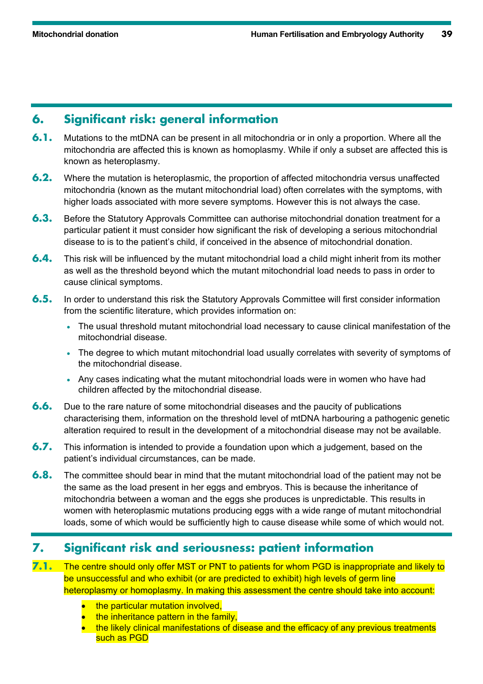# **6. Significant risk: general information**

- **6.1.** Mutations to the mtDNA can be present in all mitochondria or in only a proportion. Where all the mitochondria are affected this is known as homoplasmy. While if only a subset are affected this is known as heteroplasmy.
- **6.2.** Where the mutation is heteroplasmic, the proportion of affected mitochondria versus unaffected mitochondria (known as the mutant mitochondrial load) often correlates with the symptoms, with higher loads associated with more severe symptoms. However this is not always the case.
- **6.3.** Before the Statutory Approvals Committee can authorise mitochondrial donation treatment for a particular patient it must consider how significant the risk of developing a serious mitochondrial disease to is to the patient's child, if conceived in the absence of mitochondrial donation.
- **6.4.** This risk will be influenced by the mutant mitochondrial load a child might inherit from its mother as well as the threshold beyond which the mutant mitochondrial load needs to pass in order to cause clinical symptoms.
- **6.5.** In order to understand this risk the Statutory Approvals Committee will first consider information from the scientific literature, which provides information on:
	- The usual threshold mutant mitochondrial load necessary to cause clinical manifestation of the mitochondrial disease.
	- The degree to which mutant mitochondrial load usually correlates with severity of symptoms of the mitochondrial disease.
	- Any cases indicating what the mutant mitochondrial loads were in women who have had children affected by the mitochondrial disease.
- **6.6.** Due to the rare nature of some mitochondrial diseases and the paucity of publications characterising them, information on the threshold level of mtDNA harbouring a pathogenic genetic alteration required to result in the development of a mitochondrial disease may not be available.
- **6.7.** This information is intended to provide a foundation upon which a judgement, based on the patient's individual circumstances, can be made.
- **6.8.** The committee should bear in mind that the mutant mitochondrial load of the patient may not be the same as the load present in her eggs and embryos. This is because the inheritance of mitochondria between a woman and the eggs she produces is unpredictable. This results in women with heteroplasmic mutations producing eggs with a wide range of mutant mitochondrial loads, some of which would be sufficiently high to cause disease while some of which would not.

# **7. Significant risk and seriousness: patient information**

- **7.1.** The centre should only offer MST or PNT to patients for whom PGD is inappropriate and likely to be unsuccessful and who exhibit (or are predicted to exhibit) high levels of germ line heteroplasmy or homoplasmy. In making this assessment the centre should take into account:
	- the particular mutation involved,
	- the inheritance pattern in the family,
	- the likely clinical manifestations of disease and the efficacy of any previous treatments such as PGD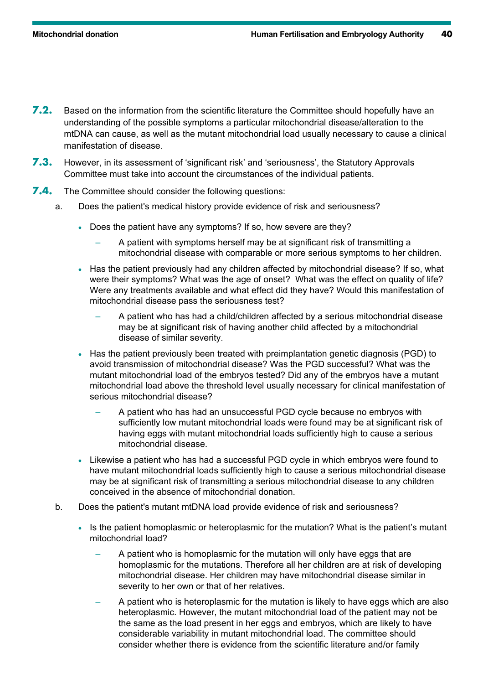- **7.2.** Based on the information from the scientific literature the Committee should hopefully have an understanding of the possible symptoms a particular mitochondrial disease/alteration to the mtDNA can cause, as well as the mutant mitochondrial load usually necessary to cause a clinical manifestation of disease.
- **7.3.** However, in its assessment of 'significant risk' and 'seriousness', the Statutory Approvals Committee must take into account the circumstances of the individual patients.
- **7.4.** The Committee should consider the following questions:
	- a. Does the patient's medical history provide evidence of risk and seriousness?
		- Does the patient have any symptoms? If so, how severe are they?
			- A patient with symptoms herself may be at significant risk of transmitting a mitochondrial disease with comparable or more serious symptoms to her children.
		- Has the patient previously had any children affected by mitochondrial disease? If so, what were their symptoms? What was the age of onset? What was the effect on quality of life? Were any treatments available and what effect did they have? Would this manifestation of mitochondrial disease pass the seriousness test?
			- A patient who has had a child/children affected by a serious mitochondrial disease may be at significant risk of having another child affected by a mitochondrial disease of similar severity.
		- Has the patient previously been treated with preimplantation genetic diagnosis (PGD) to avoid transmission of mitochondrial disease? Was the PGD successful? What was the mutant mitochondrial load of the embryos tested? Did any of the embryos have a mutant mitochondrial load above the threshold level usually necessary for clinical manifestation of serious mitochondrial disease?
			- A patient who has had an unsuccessful PGD cycle because no embryos with sufficiently low mutant mitochondrial loads were found may be at significant risk of having eggs with mutant mitochondrial loads sufficiently high to cause a serious mitochondrial disease.
		- Likewise a patient who has had a successful PGD cycle in which embryos were found to have mutant mitochondrial loads sufficiently high to cause a serious mitochondrial disease may be at significant risk of transmitting a serious mitochondrial disease to any children conceived in the absence of mitochondrial donation.
	- b. Does the patient's mutant mtDNA load provide evidence of risk and seriousness?
		- Is the patient homoplasmic or heteroplasmic for the mutation? What is the patient's mutant mitochondrial load?
			- A patient who is homoplasmic for the mutation will only have eggs that are homoplasmic for the mutations. Therefore all her children are at risk of developing mitochondrial disease. Her children may have mitochondrial disease similar in severity to her own or that of her relatives.
			- A patient who is heteroplasmic for the mutation is likely to have eggs which are also heteroplasmic. However, the mutant mitochondrial load of the patient may not be the same as the load present in her eggs and embryos, which are likely to have considerable variability in mutant mitochondrial load. The committee should consider whether there is evidence from the scientific literature and/or family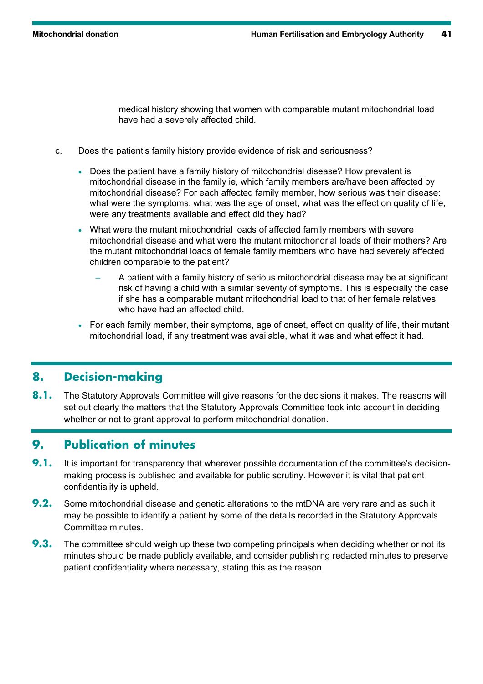medical history showing that women with comparable mutant mitochondrial load have had a severely affected child.

- c. Does the patient's family history provide evidence of risk and seriousness?
	- Does the patient have a family history of mitochondrial disease? How prevalent is mitochondrial disease in the family ie, which family members are/have been affected by mitochondrial disease? For each affected family member, how serious was their disease: what were the symptoms, what was the age of onset, what was the effect on quality of life, were any treatments available and effect did they had?
	- What were the mutant mitochondrial loads of affected family members with severe mitochondrial disease and what were the mutant mitochondrial loads of their mothers? Are the mutant mitochondrial loads of female family members who have had severely affected children comparable to the patient?
		- A patient with a family history of serious mitochondrial disease may be at significant risk of having a child with a similar severity of symptoms. This is especially the case if she has a comparable mutant mitochondrial load to that of her female relatives who have had an affected child.
	- For each family member, their symptoms, age of onset, effect on quality of life, their mutant mitochondrial load, if any treatment was available, what it was and what effect it had.

## **8. Decision-making**

**8.1.** The Statutory Approvals Committee will give reasons for the decisions it makes. The reasons will set out clearly the matters that the Statutory Approvals Committee took into account in deciding whether or not to grant approval to perform mitochondrial donation.

# **9. Publication of minutes**

- **9.1.** It is important for transparency that wherever possible documentation of the committee's decisionmaking process is published and available for public scrutiny. However it is vital that patient confidentiality is upheld.
- **9.2.** Some mitochondrial disease and genetic alterations to the mtDNA are very rare and as such it may be possible to identify a patient by some of the details recorded in the Statutory Approvals Committee minutes.
- **9.3.** The committee should weigh up these two competing principals when deciding whether or not its minutes should be made publicly available, and consider publishing redacted minutes to preserve patient confidentiality where necessary, stating this as the reason.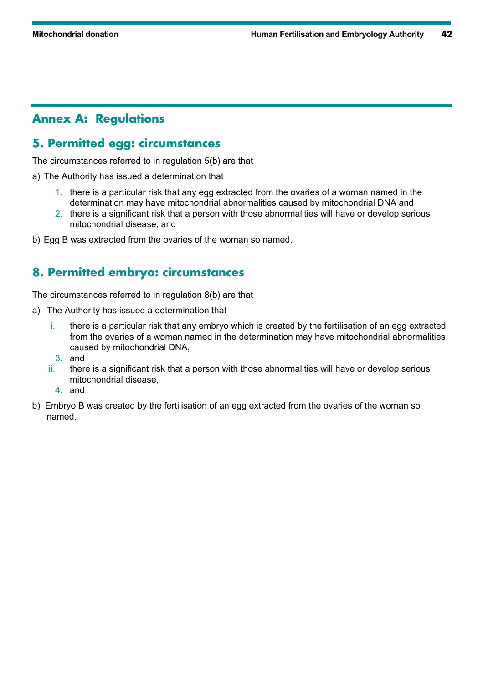# **Annex A: Regulations**

# **5. Permitted egg: circumstances**

The circumstances referred to in regulation 5(b) are that

- a) The Authority has issued a determination that
	- 1. there is a particular risk that any egg extracted from the ovaries of a woman named in the determination may have mitochondrial abnormalities caused by mitochondrial DNA and
	- 2. there is a significant risk that a person with those abnormalities will have or develop serious mitochondrial disease; and
- b) Egg B was extracted from the ovaries of the woman so named.

# **8. Permitted embryo: circumstances**

The circumstances referred to in regulation 8(b) are that

- a) The Authority has issued a determination that
	- i. there is a particular risk that any embryo which is created by the fertilisation of an egg extracted from the ovaries of a woman named in the determination may have mitochondrial abnormalities caused by mitochondrial DNA,
	- 3. and
	- ii. there is a significant risk that a person with those abnormalities will have or develop serious mitochondrial disease,
		- 4. and
- b) Embryo B was created by the fertilisation of an egg extracted from the ovaries of the woman so named.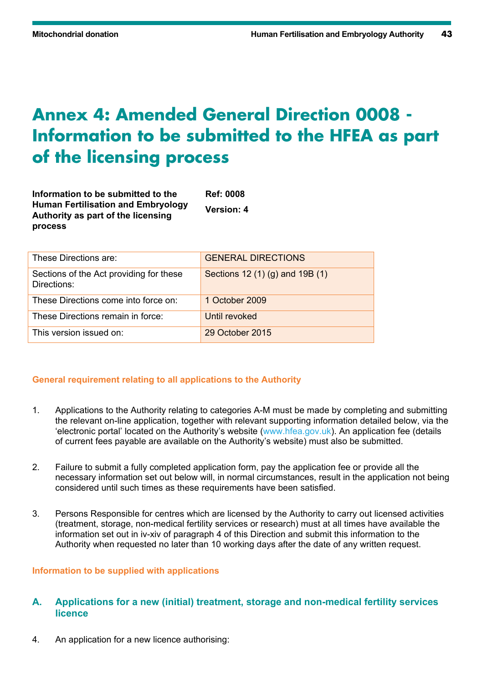# **Annex 4: Amended General Direction 0008 - Information to be submitted to the HFEA as part of the licensing process**

**Information to be submitted to the Human Fertilisation and Embryology Authority as part of the licensing process** 

**Ref: 0008 Version: 4** 

| These Directions are:                                  | <b>GENERAL DIRECTIONS</b>       |
|--------------------------------------------------------|---------------------------------|
| Sections of the Act providing for these<br>Directions: | Sections 12 (1) (g) and 19B (1) |
| These Directions come into force on:                   | 1 October 2009                  |
| These Directions remain in force:                      | Until revoked                   |
| This version issued on:                                | 29 October 2015                 |

#### **General requirement relating to all applications to the Authority**

- 1. Applications to the Authority relating to categories A-M must be made by completing and submitting the relevant on-line application, together with relevant supporting information detailed below, via the 'electronic portal' located on the Authority's website (www.hfea.gov.uk). An application fee (details of current fees payable are available on the Authority's website) must also be submitted.
- 2. Failure to submit a fully completed application form, pay the application fee or provide all the necessary information set out below will, in normal circumstances, result in the application not being considered until such times as these requirements have been satisfied.
- 3. Persons Responsible for centres which are licensed by the Authority to carry out licensed activities (treatment, storage, non-medical fertility services or research) must at all times have available the information set out in iv-xiv of paragraph 4 of this Direction and submit this information to the Authority when requested no later than 10 working days after the date of any written request.

#### **Information to be supplied with applications**

#### **A. Applications for a new (initial) treatment, storage and non-medical fertility services licence**

4. An application for a new licence authorising: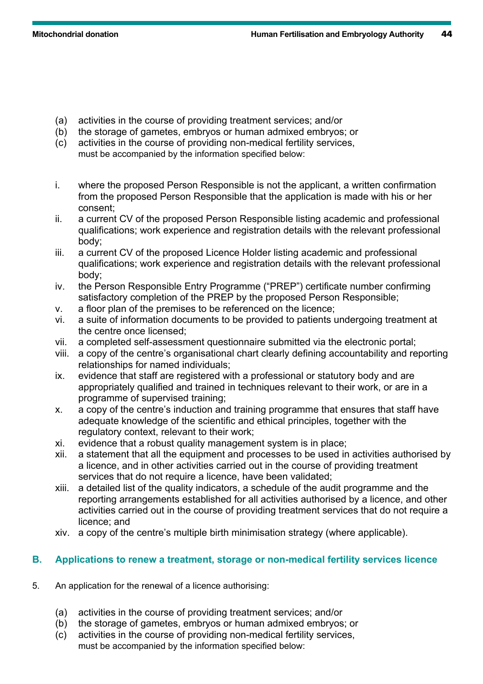- (a) activities in the course of providing treatment services; and/or
- (b) the storage of gametes, embryos or human admixed embryos; or
- (c) activities in the course of providing non-medical fertility services, must be accompanied by the information specified below:
- i. where the proposed Person Responsible is not the applicant, a written confirmation from the proposed Person Responsible that the application is made with his or her consent;
- ii. a current CV of the proposed Person Responsible listing academic and professional qualifications; work experience and registration details with the relevant professional body;
- iii. a current CV of the proposed Licence Holder listing academic and professional qualifications; work experience and registration details with the relevant professional body;
- iv. the Person Responsible Entry Programme ("PREP") certificate number confirming satisfactory completion of the PREP by the proposed Person Responsible;
- v. a floor plan of the premises to be referenced on the licence;
- vi. a suite of information documents to be provided to patients undergoing treatment at the centre once licensed;
- vii. a completed self-assessment questionnaire submitted via the electronic portal;
- viii. a copy of the centre's organisational chart clearly defining accountability and reporting relationships for named individuals;
- ix. evidence that staff are registered with a professional or statutory body and are appropriately qualified and trained in techniques relevant to their work, or are in a programme of supervised training;
- x. a copy of the centre's induction and training programme that ensures that staff have adequate knowledge of the scientific and ethical principles, together with the regulatory context, relevant to their work;
- xi. evidence that a robust quality management system is in place;
- xii. a statement that all the equipment and processes to be used in activities authorised by a licence, and in other activities carried out in the course of providing treatment services that do not require a licence, have been validated;
- xiii. a detailed list of the quality indicators, a schedule of the audit programme and the reporting arrangements established for all activities authorised by a licence, and other activities carried out in the course of providing treatment services that do not require a licence; and
- xiv. a copy of the centre's multiple birth minimisation strategy (where applicable).

#### **B. Applications to renew a treatment, storage or non-medical fertility services licence**

- 5. An application for the renewal of a licence authorising:
	- (a) activities in the course of providing treatment services; and/or
	- (b) the storage of gametes, embryos or human admixed embryos; or
	- (c) activities in the course of providing non-medical fertility services, must be accompanied by the information specified below: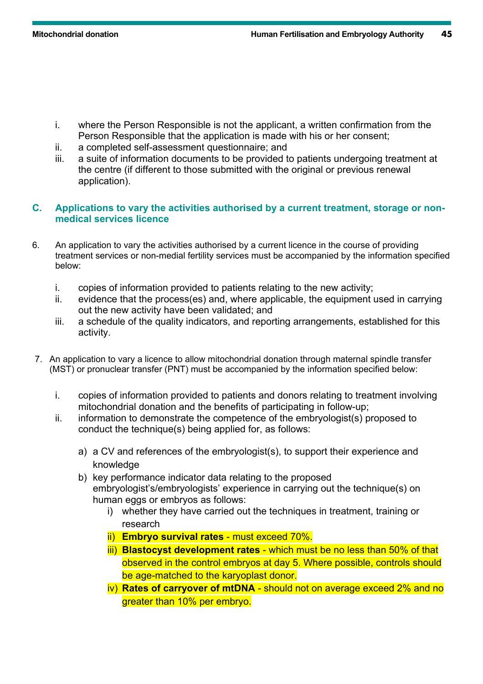- i. where the Person Responsible is not the applicant, a written confirmation from the Person Responsible that the application is made with his or her consent;
- ii. a completed self-assessment questionnaire; and
- iii. a suite of information documents to be provided to patients undergoing treatment at the centre (if different to those submitted with the original or previous renewal application).

#### **C. Applications to vary the activities authorised by a current treatment, storage or nonmedical services licence**

- 6. An application to vary the activities authorised by a current licence in the course of providing treatment services or non-medial fertility services must be accompanied by the information specified below:
	- i. copies of information provided to patients relating to the new activity;
	- ii. evidence that the process(es) and, where applicable, the equipment used in carrying out the new activity have been validated; and
	- iii. a schedule of the quality indicators, and reporting arrangements, established for this activity.
- 7. An application to vary a licence to allow mitochondrial donation through maternal spindle transfer (MST) or pronuclear transfer (PNT) must be accompanied by the information specified below:
	- i. copies of information provided to patients and donors relating to treatment involving mitochondrial donation and the benefits of participating in follow-up;
	- ii. information to demonstrate the competence of the embryologist(s) proposed to conduct the technique(s) being applied for, as follows:
		- a) a CV and references of the embryologist(s), to support their experience and knowledge
		- b) key performance indicator data relating to the proposed embryologist's/embryologists' experience in carrying out the technique(s) on human eggs or embryos as follows:
			- i) whether they have carried out the techniques in treatment, training or research
			- ii) **Embryo survival rates** must exceed 70%.
			- iii) **Blastocyst development rates** which must be no less than 50% of that observed in the control embryos at day 5. Where possible, controls should be age-matched to the karyoplast donor.
			- iv) **Rates of carryover of mtDNA** should not on average exceed 2% and no greater than 10% per embryo.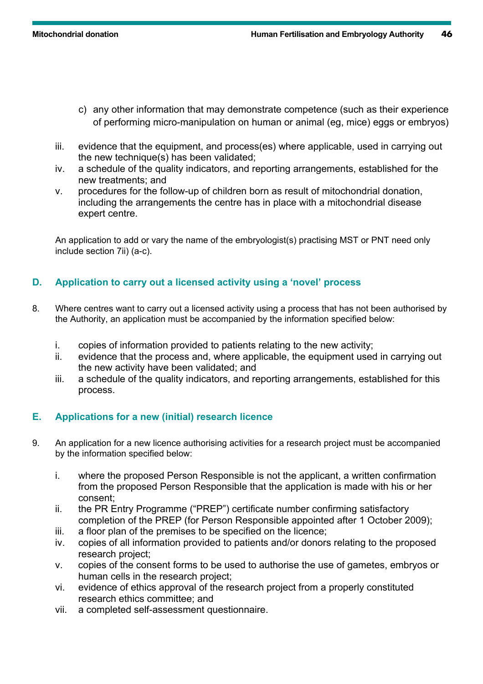- c) any other information that may demonstrate competence (such as their experience of performing micro-manipulation on human or animal (eg, mice) eggs or embryos)
- iii. evidence that the equipment, and process(es) where applicable, used in carrying out the new technique(s) has been validated;
- iv. a schedule of the quality indicators, and reporting arrangements, established for the new treatments; and
- v. procedures for the follow-up of children born as result of mitochondrial donation, including the arrangements the centre has in place with a mitochondrial disease expert centre.

An application to add or vary the name of the embryologist(s) practising MST or PNT need only include section 7ii) (a-c).

#### **D. Application to carry out a licensed activity using a 'novel' process**

- 8. Where centres want to carry out a licensed activity using a process that has not been authorised by the Authority, an application must be accompanied by the information specified below:
	- i. copies of information provided to patients relating to the new activity;
	- ii. evidence that the process and, where applicable, the equipment used in carrying out the new activity have been validated; and
	- iii. a schedule of the quality indicators, and reporting arrangements, established for this process.

#### **E. Applications for a new (initial) research licence**

- 9. An application for a new licence authorising activities for a research project must be accompanied by the information specified below:
	- i. where the proposed Person Responsible is not the applicant, a written confirmation from the proposed Person Responsible that the application is made with his or her consent;
	- ii. the PR Entry Programme ("PREP") certificate number confirming satisfactory completion of the PREP (for Person Responsible appointed after 1 October 2009);
	- iii. a floor plan of the premises to be specified on the licence;
	- iv. copies of all information provided to patients and/or donors relating to the proposed research project;
	- v. copies of the consent forms to be used to authorise the use of gametes, embryos or human cells in the research project;
	- vi. evidence of ethics approval of the research project from a properly constituted research ethics committee; and
	- vii. a completed self-assessment questionnaire.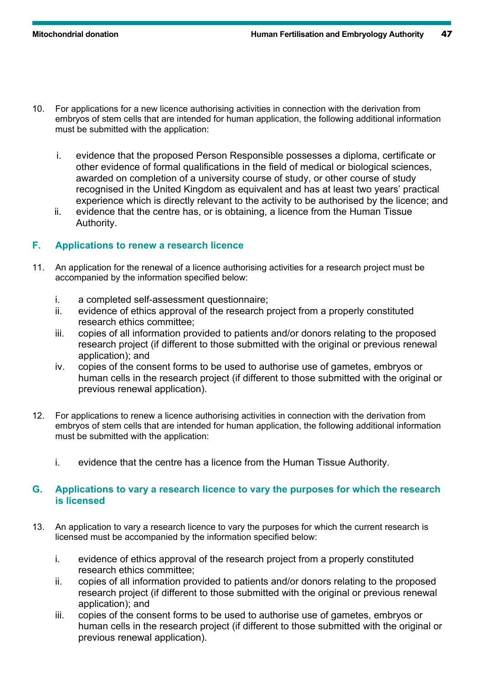- 10. For applications for a new licence authorising activities in connection with the derivation from embryos of stem cells that are intended for human application, the following additional information must be submitted with the application:
	- i. evidence that the proposed Person Responsible possesses a diploma, certificate or other evidence of formal qualifications in the field of medical or biological sciences, awarded on completion of a university course of study, or other course of study recognised in the United Kingdom as equivalent and has at least two years' practical experience which is directly relevant to the activity to be authorised by the licence; and
	- ii. evidence that the centre has, or is obtaining, a licence from the Human Tissue Authority.

#### **F. Applications to renew a research licence**

- 11. An application for the renewal of a licence authorising activities for a research project must be accompanied by the information specified below:
	- i. a completed self-assessment questionnaire;
	- ii. evidence of ethics approval of the research project from a properly constituted research ethics committee;
	- iii. copies of all information provided to patients and/or donors relating to the proposed research project (if different to those submitted with the original or previous renewal application); and
	- iv. copies of the consent forms to be used to authorise use of gametes, embryos or human cells in the research project (if different to those submitted with the original or previous renewal application).
- 12. For applications to renew a licence authorising activities in connection with the derivation from embryos of stem cells that are intended for human application, the following additional information must be submitted with the application:
	- i. evidence that the centre has a licence from the Human Tissue Authority.

#### **G. Applications to vary a research licence to vary the purposes for which the research is licensed**

- 13. An application to vary a research licence to vary the purposes for which the current research is licensed must be accompanied by the information specified below:
	- i. evidence of ethics approval of the research project from a properly constituted research ethics committee;
	- ii. copies of all information provided to patients and/or donors relating to the proposed research project (if different to those submitted with the original or previous renewal application); and
	- iii. copies of the consent forms to be used to authorise use of gametes, embryos or human cells in the research project (if different to those submitted with the original or previous renewal application).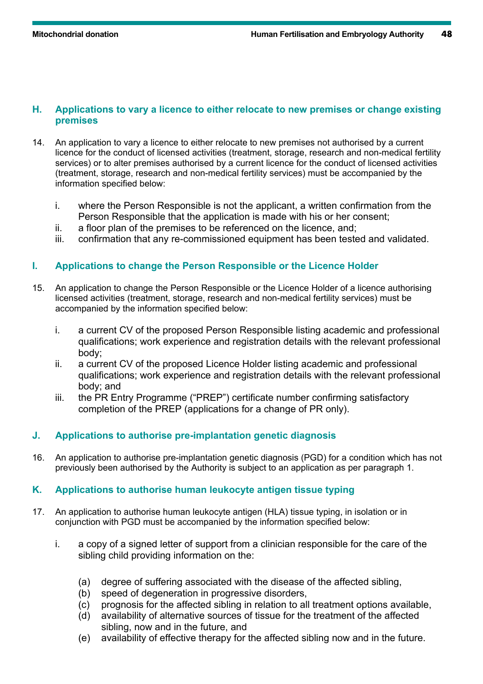#### **H. Applications to vary a licence to either relocate to new premises or change existing premises**

- 14. An application to vary a licence to either relocate to new premises not authorised by a current licence for the conduct of licensed activities (treatment, storage, research and non-medical fertility services) or to alter premises authorised by a current licence for the conduct of licensed activities (treatment, storage, research and non-medical fertility services) must be accompanied by the information specified below:
	- i. where the Person Responsible is not the applicant, a written confirmation from the Person Responsible that the application is made with his or her consent;
	- ii. a floor plan of the premises to be referenced on the licence, and;
	- iii. confirmation that any re-commissioned equipment has been tested and validated.

#### **I. Applications to change the Person Responsible or the Licence Holder**

- 15. An application to change the Person Responsible or the Licence Holder of a licence authorising licensed activities (treatment, storage, research and non-medical fertility services) must be accompanied by the information specified below:
	- i. a current CV of the proposed Person Responsible listing academic and professional qualifications; work experience and registration details with the relevant professional body;
	- ii. a current CV of the proposed Licence Holder listing academic and professional qualifications; work experience and registration details with the relevant professional body; and
	- iii. the PR Entry Programme ("PREP") certificate number confirming satisfactory completion of the PREP (applications for a change of PR only).

#### **J. Applications to authorise pre-implantation genetic diagnosis**

16. An application to authorise pre-implantation genetic diagnosis (PGD) for a condition which has not previously been authorised by the Authority is subject to an application as per paragraph 1.

#### **K. Applications to authorise human leukocyte antigen tissue typing**

- 17. An application to authorise human leukocyte antigen (HLA) tissue typing, in isolation or in conjunction with PGD must be accompanied by the information specified below:
	- i. a copy of a signed letter of support from a clinician responsible for the care of the sibling child providing information on the:
		- (a) degree of suffering associated with the disease of the affected sibling,
		- (b) speed of degeneration in progressive disorders,
		- (c) prognosis for the affected sibling in relation to all treatment options available,
		- (d) availability of alternative sources of tissue for the treatment of the affected sibling, now and in the future, and
		- (e) availability of effective therapy for the affected sibling now and in the future.